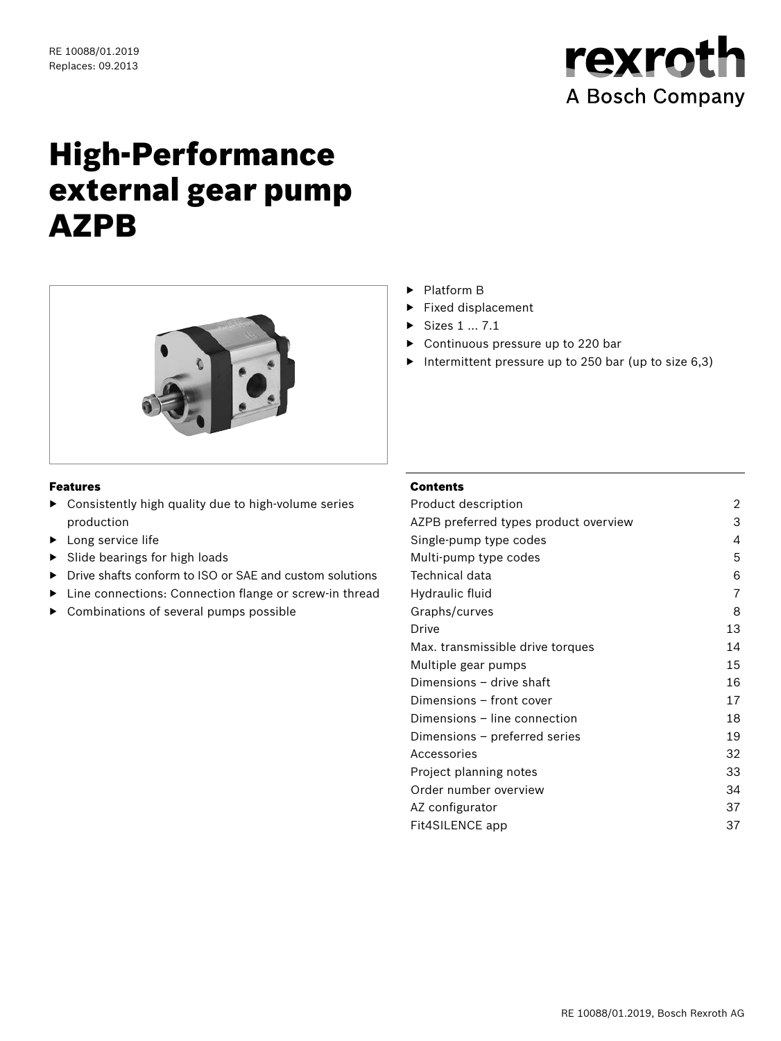

# High-Performance external gear pump AZPB



#### Features

- ▶ Consistently high quality due to high-volume series production
- ▶ Long service life
- Slide bearings for high loads
- ▶ Drive shafts conform to ISO or SAE and custom solutions
- ▶ Line connections: Connection flange or screw-in thread
- ▶ Combinations of several pumps possible
- ▶ Platform B
- ▶ Fixed displacement
- ▶ Sizes 1 … 7.1
- ▶ Continuous pressure up to 220 bar
- ▶ Intermittent pressure up to 250 bar (up to size 6,3)

#### Contents

| Product description                   | 2  |
|---------------------------------------|----|
| AZPB preferred types product overview | 3  |
| Single-pump type codes                | 4  |
| Multi-pump type codes                 | 5  |
| Technical data                        | 6  |
| Hydraulic fluid                       | 7  |
| Graphs/curves                         | 8  |
| Drive                                 | 13 |
| Max. transmissible drive torques      | 14 |
| Multiple gear pumps                   | 15 |
| Dimensions – drive shaft              | 16 |
| Dimensions – front cover              | 17 |
| Dimensions – line connection          | 18 |
| Dimensions – preferred series         | 19 |
| Accessories                           | 32 |
| Project planning notes                | 33 |
| Order number overview                 | 34 |
| AZ configurator                       | 37 |
| Fit4SILENCE app                       | 37 |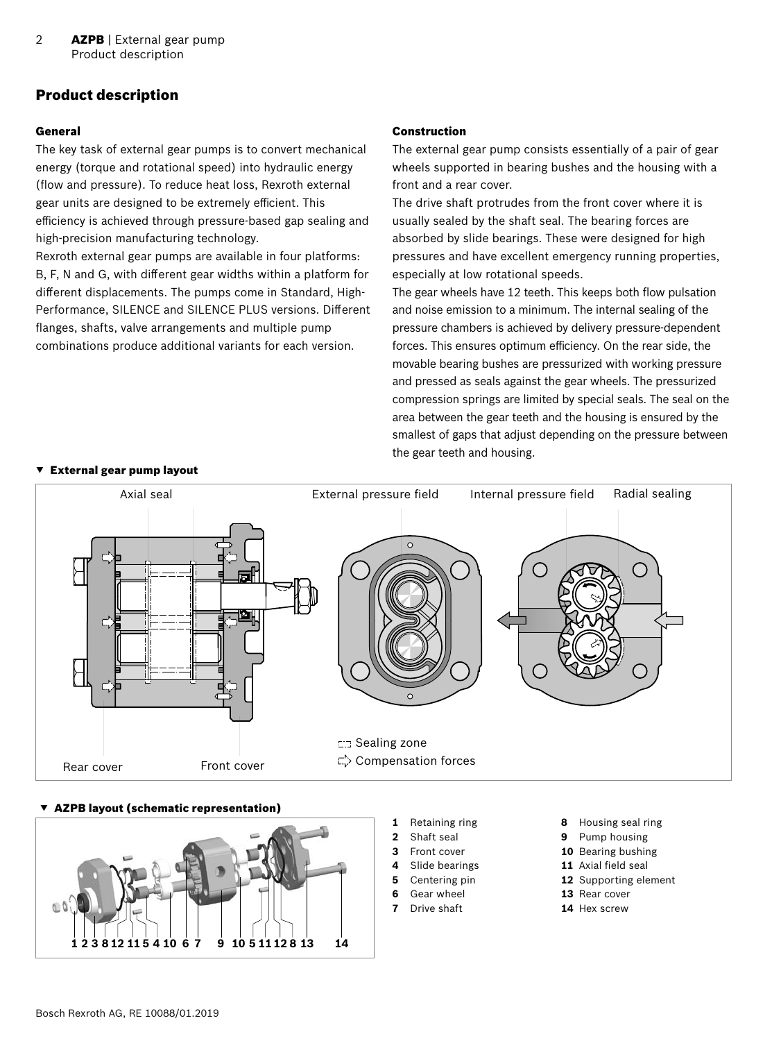# <span id="page-1-0"></span>Product description

#### General

The key task of external gear pumps is to convert mechanical energy (torque and rotational speed) into hydraulic energy (flow and pressure). To reduce heat loss, Rexroth external gear units are designed to be extremely efficient. This efficiency is achieved through pressure-based gap sealing and high-precision manufacturing technology.

Rexroth external gear pumps are available in four platforms: B, F, N and G, with different gear widths within a platform for different displacements. The pumps come in Standard, High-Performance, SILENCE and SILENCE PLUS versions. Different flanges, shafts, valve arrangements and multiple pump combinations produce additional variants for each version.

#### Construction

The external gear pump consists essentially of a pair of gear wheels supported in bearing bushes and the housing with a front and a rear cover.

The drive shaft protrudes from the front cover where it is usually sealed by the shaft seal. The bearing forces are absorbed by slide bearings. These were designed for high pressures and have excellent emergency running properties, especially at low rotational speeds.

The gear wheels have 12 teeth. This keeps both flow pulsation and noise emission to a minimum. The internal sealing of the pressure chambers is achieved by delivery pressure-dependent forces. This ensures optimum efficiency. On the rear side, the movable bearing bushes are pressurized with working pressure and pressed as seals against the gear wheels. The pressurized compression springs are limited by special seals. The seal on the area between the gear teeth and the housing is ensured by the smallest of gaps that adjust depending on the pressure between the gear teeth and housing.



#### AZPB layout (schematic representation)



- **1** Retaining ring
- **2** Shaft seal
- **3** Front cover
- **4** Slide bearings
- **5** Centering pin
- **6** Gear wheel
- **7** Drive shaft
- **8** Housing seal ring
- **9** Pump housing
- **10** Bearing bushing
- **11** Axial field seal
	- **12** Supporting element
	- **13** Rear cover
	- **14** Hex screw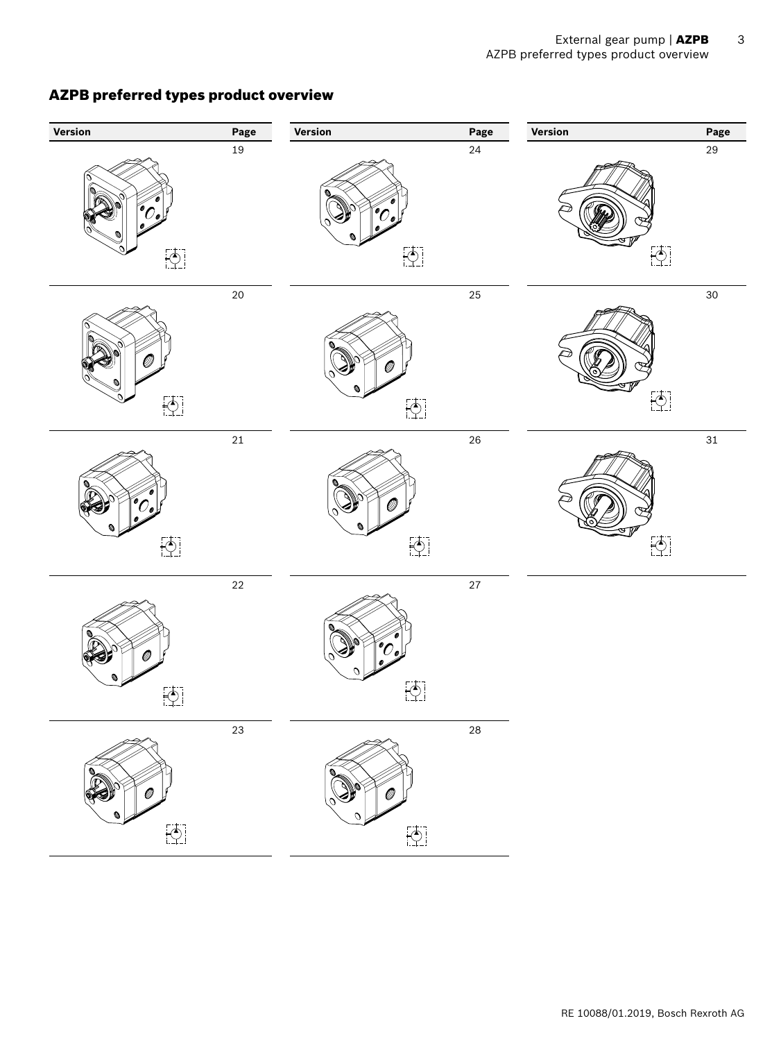# **Version Page Version Page Version Page**  $19$  24 29  $\left[\begin{matrix} 1 \\ 1 \\ 1 \end{matrix}\right]$  $\begin{bmatrix} 1 & 1 \\ 1 & 1 \end{bmatrix}$  $\left[\begin{matrix} 1 \\ 1 \end{matrix}\right]$  $20$   $25$   $30$  $\left[\begin{matrix} 1 \\ 1 \\ 1 \end{matrix}\right]$  $\left[\begin{matrix} 1 \\ 0 \end{matrix}\right]$  $\left[\begin{matrix} 1 \\ 1 \end{matrix}\right]$  $21$  26 31  $\overline{1}$  $\begin{bmatrix} 1 & 1 \\ 1 & 1 \end{bmatrix}$  $\left[\begin{matrix} 1 \\ 1 \\ 1 \end{matrix}\right]$ 22 27  $\left[\begin{matrix} 1 \\ 1 \\ 1 \end{matrix}\right]$ 23 28 $\overline{\bigcirc}$  $\left[\begin{matrix} 1 \\ 1 \\ 1 \end{matrix}\right]$

# <span id="page-2-0"></span>AZPB preferred types product overview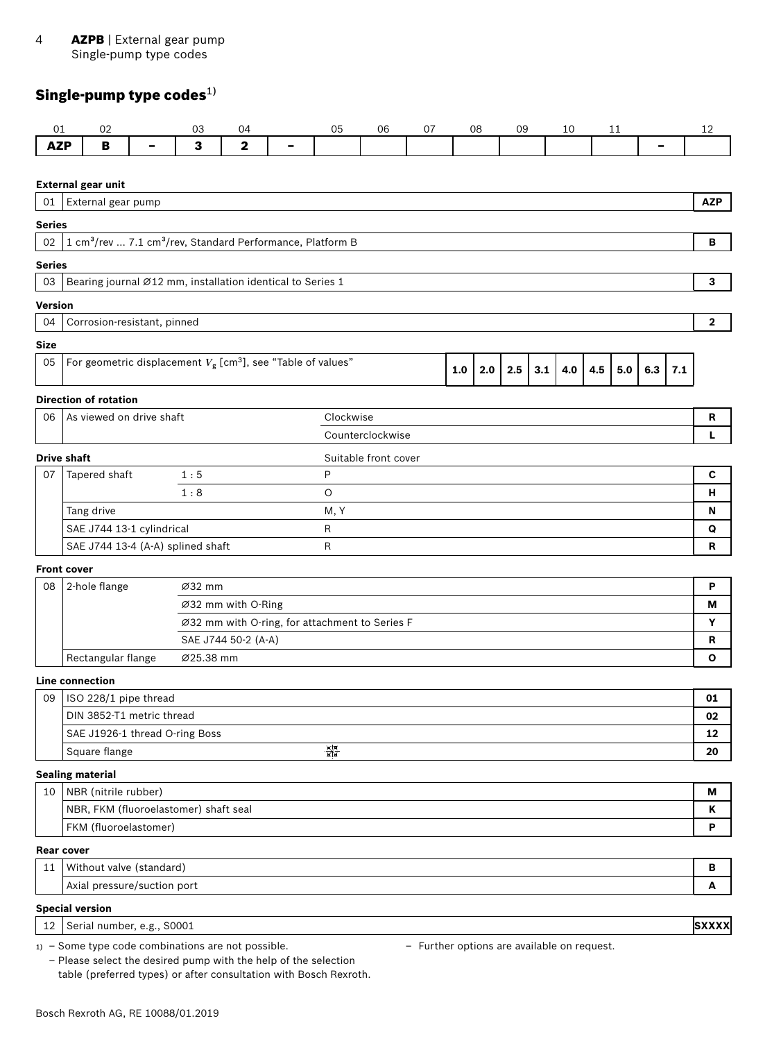#### <span id="page-3-0"></span>4 AZPB | External gear pump Single-pump type codes

# Single-pump type codes $^{1)}$

| 3<br>$\mathbf 2$<br><b>AZP</b><br>B<br>-<br><b>External gear unit</b><br>External gear pump<br>01<br><b>Series</b>                    | -   | <b>AZP</b><br>в |
|---------------------------------------------------------------------------------------------------------------------------------------|-----|-----------------|
|                                                                                                                                       |     |                 |
|                                                                                                                                       |     |                 |
|                                                                                                                                       |     |                 |
|                                                                                                                                       |     |                 |
|                                                                                                                                       |     |                 |
| 1 cm <sup>3</sup> /rev  7.1 cm <sup>3</sup> /rev, Standard Performance, Platform B<br>02                                              |     |                 |
| <b>Series</b>                                                                                                                         |     |                 |
| Bearing journal Ø12 mm, installation identical to Series 1<br>03                                                                      |     | 3               |
| <b>Version</b>                                                                                                                        |     |                 |
| 04<br>Corrosion-resistant, pinned                                                                                                     |     | $\mathbf{2}$    |
| <b>Size</b>                                                                                                                           |     |                 |
| For geometric displacement $V_g$ [cm <sup>3</sup> ], see "Table of values"<br>05                                                      |     |                 |
| 2.0<br>2.5<br>3.1<br>4.0<br>4.5<br>5.0<br>6.3<br>1.0                                                                                  | 7.1 |                 |
| <b>Direction of rotation</b>                                                                                                          |     |                 |
| As viewed on drive shaft<br>Clockwise<br>06                                                                                           |     | R               |
| Counterclockwise                                                                                                                      |     | L               |
| <b>Drive shaft</b><br>Suitable front cover                                                                                            |     |                 |
| Tapered shaft<br>1:5<br>P<br>07                                                                                                       |     | $\mathbf c$     |
| 1:8<br>$\circ$                                                                                                                        |     | н               |
| Tang drive<br>M, Y                                                                                                                    |     | N               |
| SAE J744 13-1 cylindrical<br>R                                                                                                        |     | Q               |
| SAE J744 13-4 (A-A) splined shaft<br>$\mathsf{R}$                                                                                     |     | $\mathbf R$     |
| <b>Front cover</b>                                                                                                                    |     |                 |
| 2-hole flange<br>Ø32 mm<br>08                                                                                                         |     | P               |
| Ø32 mm with O-Ring                                                                                                                    |     | Μ               |
| Ø32 mm with O-ring, for attachment to Series F                                                                                        |     | Y               |
| SAE J744 50-2 (A-A)                                                                                                                   |     | R               |
| Rectangular flange<br>Ø25.38 mm                                                                                                       |     | O               |
| <b>Line connection</b>                                                                                                                |     |                 |
| ISO 228/1 pipe thread<br>09                                                                                                           |     | 01              |
| DIN 3852-T1 metric thread                                                                                                             |     | 02              |
| SAE J1926-1 thread O-ring Boss<br>র্জু<br>জীৱ<br>Square flange                                                                        |     | 12              |
|                                                                                                                                       |     | 20              |
| <b>Sealing material</b>                                                                                                               |     |                 |
| NBR (nitrile rubber)<br>10<br>NBR, FKM (fluoroelastomer) shaft seal                                                                   |     | М<br>К          |
| FKM (fluoroelastomer)                                                                                                                 |     | P               |
|                                                                                                                                       |     |                 |
| <b>Rear cover</b>                                                                                                                     |     |                 |
| Without valve (standard)<br>11<br>Axial pressure/suction port                                                                         |     | в<br>А          |
|                                                                                                                                       |     |                 |
| <b>Special version</b>                                                                                                                |     |                 |
| Serial number, e.g., S0001<br>12<br>1) - Some type code combinations are not possible.<br>- Further options are available on request. |     | <b>SXXXX</b>    |

– Please select the desired pump with the help of the selection table (preferred types) or after consultation with Bosch Rexroth. – Further options are available on request.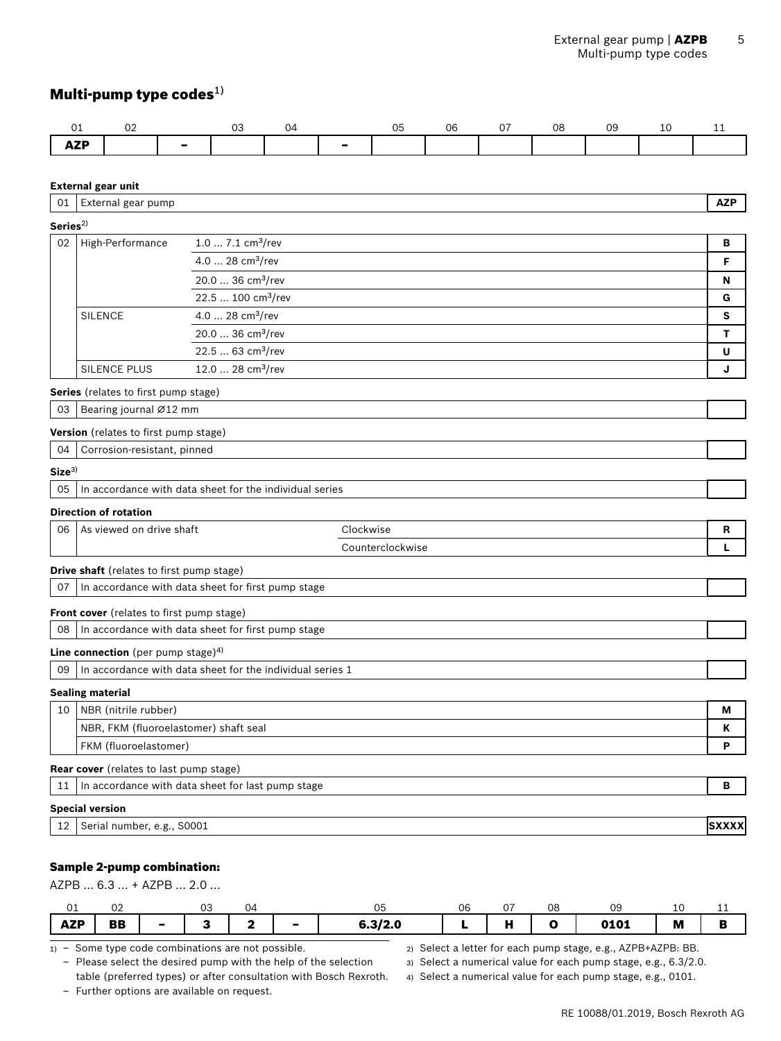# <span id="page-4-0"></span>Multi-pump type codes $^{1)}$

|            | ັບ∠ |  | . LZ |  | ገ6 | $\sim$ $-$ | 08 | 09 |  |
|------------|-----|--|------|--|----|------------|----|----|--|
| <b>ALI</b> |     |  |      |  |    |            |    |    |  |

#### **External gear unit**

| 01                  | External gear pump                             |                                                           |                  | <b>AZP</b>   |  |  |  |  |  |
|---------------------|------------------------------------------------|-----------------------------------------------------------|------------------|--------------|--|--|--|--|--|
| Series <sup>2</sup> |                                                |                                                           |                  |              |  |  |  |  |  |
| 02                  | High-Performance                               | $1.07.1$ cm <sup>3</sup> /rev                             |                  | в            |  |  |  |  |  |
|                     |                                                | 4.0  28 $cm3/rev$                                         |                  | F            |  |  |  |  |  |
|                     |                                                | 20.0  36 cm <sup>3</sup> /rev                             |                  | N            |  |  |  |  |  |
|                     | 22.5  100 cm <sup>3</sup> /rev                 |                                                           |                  |              |  |  |  |  |  |
|                     | <b>SILENCE</b>                                 | 4.0  28 cm <sup>3</sup> /rev                              |                  | S            |  |  |  |  |  |
|                     |                                                | 20.0  36 cm <sup>3</sup> /rev                             |                  | т            |  |  |  |  |  |
|                     |                                                | 22.5  63 cm <sup>3</sup> /rev                             |                  | U            |  |  |  |  |  |
|                     | <b>SILENCE PLUS</b>                            | 12.0  28 cm <sup>3</sup> /rev                             |                  | J            |  |  |  |  |  |
|                     | Series (relates to first pump stage)           |                                                           |                  |              |  |  |  |  |  |
| 03                  | Bearing journal Ø12 mm                         |                                                           |                  |              |  |  |  |  |  |
|                     | Version (relates to first pump stage)          |                                                           |                  |              |  |  |  |  |  |
| 04                  | Corrosion-resistant, pinned                    |                                                           |                  |              |  |  |  |  |  |
| Size <sup>3</sup>   |                                                |                                                           |                  |              |  |  |  |  |  |
| 05                  |                                                | In accordance with data sheet for the individual series   |                  |              |  |  |  |  |  |
|                     | <b>Direction of rotation</b>                   |                                                           |                  |              |  |  |  |  |  |
| 06                  | As viewed on drive shaft                       |                                                           | Clockwise        | R            |  |  |  |  |  |
|                     |                                                |                                                           | Counterclockwise | L            |  |  |  |  |  |
|                     | Drive shaft (relates to first pump stage)      |                                                           |                  |              |  |  |  |  |  |
| 07                  |                                                | In accordance with data sheet for first pump stage        |                  |              |  |  |  |  |  |
|                     |                                                |                                                           |                  |              |  |  |  |  |  |
|                     | Front cover (relates to first pump stage)      |                                                           |                  |              |  |  |  |  |  |
| 08                  |                                                | In accordance with data sheet for first pump stage        |                  |              |  |  |  |  |  |
|                     | Line connection (per pump stage) <sup>4)</sup> |                                                           |                  |              |  |  |  |  |  |
| 09                  |                                                | In accordance with data sheet for the individual series 1 |                  |              |  |  |  |  |  |
|                     | <b>Sealing material</b>                        |                                                           |                  |              |  |  |  |  |  |
|                     | 10   NBR (nitrile rubber)                      |                                                           |                  | м            |  |  |  |  |  |
|                     | NBR, FKM (fluoroelastomer) shaft seal          |                                                           |                  | K            |  |  |  |  |  |
|                     | FKM (fluoroelastomer)                          |                                                           |                  | P            |  |  |  |  |  |
|                     | <b>Rear cover</b> (relates to last pump stage) |                                                           |                  |              |  |  |  |  |  |
| 11                  |                                                | In accordance with data sheet for last pump stage         |                  | в            |  |  |  |  |  |
|                     | <b>Special version</b>                         |                                                           |                  |              |  |  |  |  |  |
| 12 <sup>2</sup>     | Serial number, e.g., S0001                     |                                                           |                  | <b>SXXXX</b> |  |  |  |  |  |
|                     |                                                |                                                           |                  |              |  |  |  |  |  |

### Sample 2-pump combination:

AZPB … 6.3 … + AZPB … 2.0 …

| ◡⊥         | ◡∠        | $\sim$<br>◡◡ | 24، |   | u                            | 06 | --  | 08 | $\sim$<br>. .<br>ັ |   | -- |
|------------|-----------|--------------|-----|---|------------------------------|----|-----|----|--------------------|---|----|
| <b>AZP</b> | <b>BB</b> |              |     | - | $\sim$ $\sim$ $\sim$<br>/2.u |    | . . |    | 0101               | M |    |

1) – Some type code combinations are not possible.

– Please select the desired pump with the help of the selection table (preferred types) or after consultation with Bosch Rexroth.

– Further options are available on request.

2) Select a letter for each pump stage, e.g., AZPB+AZPB: BB.

3) Select a numerical value for each pump stage, e.g., 6.3/2.0.

4) Select a numerical value for each pump stage, e.g., 0101.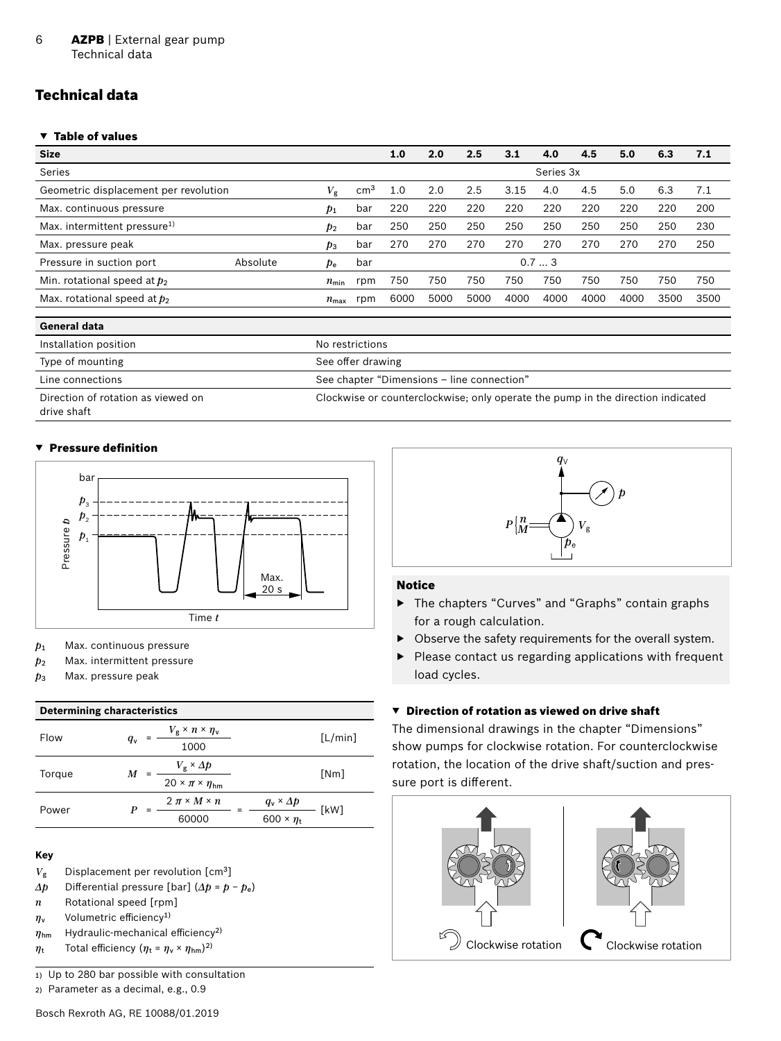#### <span id="page-5-0"></span>6 **AZPB** | External gear pump Technical data

# Technical data

#### ▼ Table of values

| <b>Size</b>                                          |  |                  |                 | 1.0  | 2.0  | 2.5  | 3.1  | 4.0       | 4.5  | 5.0  | 6.3  | 7.1  |
|------------------------------------------------------|--|------------------|-----------------|------|------|------|------|-----------|------|------|------|------|
| Series                                               |  |                  |                 |      |      |      |      | Series 3x |      |      |      |      |
| Geometric displacement per revolution<br>$V_{\rm g}$ |  |                  | cm <sup>3</sup> | 1.0  | 2.0  | 2.5  | 3.15 | 4.0       | 4.5  | 5.0  | 6.3  | 7.1  |
| Max. continuous pressure                             |  |                  | bar             | 220  | 220  | 220  | 220  | 220       | 220  | 220  | 220  | 200  |
| Max. intermittent pressure <sup>1)</sup>             |  |                  | bar             | 250  | 250  | 250  | 250  | 250       | 250  | 250  | 250  | 230  |
| Max. pressure peak                                   |  | $p_3$            | bar             | 270  | 270  | 270  | 270  | 270       | 270  | 270  | 270  | 250  |
| Absolute<br>Pressure in suction port                 |  | $p_{\rm e}$      | bar             |      |      |      |      | 0.73      |      |      |      |      |
| Min. rotational speed at $p_2$                       |  | $n_{\min}$       | rpm             | 750  | 750  | 750  | 750  | 750       | 750  | 750  | 750  | 750  |
| Max. rotational speed at $p_2$                       |  | $n_{\text{max}}$ | rpm             | 6000 | 5000 | 5000 | 4000 | 4000      | 4000 | 4000 | 3500 | 3500 |
|                                                      |  |                  |                 |      |      |      |      |           |      |      |      |      |

| General data                       |                                                                                 |
|------------------------------------|---------------------------------------------------------------------------------|
| Installation position              | No restrictions                                                                 |
| Type of mounting                   | See offer drawing                                                               |
| Line connections                   | See chapter "Dimensions - line connection"                                      |
| Direction of rotation as viewed on | Clockwise or counterclockwise; only operate the pump in the direction indicated |

Direction of rotation as viewed on drive shaft

#### ▼ Pressure definition



- *p*<sup>1</sup> Max. continuous pressure
- *p*<sup>2</sup> Max. intermittent pressure
- *p*<sup>3</sup> Max. pressure peak

#### **Determining characteristics**

| Flow   | q <sub>v</sub> | $V_{\rm g} \times n \times \eta_{\rm v}$<br>1000                       |                                               | [L/min] |
|--------|----------------|------------------------------------------------------------------------|-----------------------------------------------|---------|
| Torque | M              | $V_{\rm g} \times \Delta p$<br>$20 \times \pi \times \eta_{\text{hm}}$ |                                               | [Nm]    |
| Power  |                | $2 \pi \times M \times n$<br>60000                                     | $q_{\rm v} \times \Delta p$<br>600 × $\eta_t$ | [kW]    |

#### **Key**

- $V_{\rm g}$  Displacement per revolution [cm<sup>3</sup>]
- $Δp$  Differential pressure [bar]  $(Δp = p p_e)$
- *n* Rotational speed [rpm]
- *η*<sup>v</sup> Volumetric efficiency1)
- *η*hm Hydraulic-mechanical efficiency2)
- $η_t$  Total efficiency ( $η_t = η_v × η_{hm}$ )<sup>2)</sup>

1) Up to 280 bar possible with consultation

2) Parameter as a decimal, e.g., 0.9



#### Notice

- ▶ The chapters "Curves" and "Graphs" contain graphs for a rough calculation.
- ▶ Observe the safety requirements for the overall system.
- ▶ Please contact us regarding applications with frequent load cycles.

#### ▼ Direction of rotation as viewed on drive shaft

The dimensional drawings in the chapter "Dimensions" show pumps for clockwise rotation. For counterclockwise rotation, the location of the drive shaft/suction and pressure port is different.

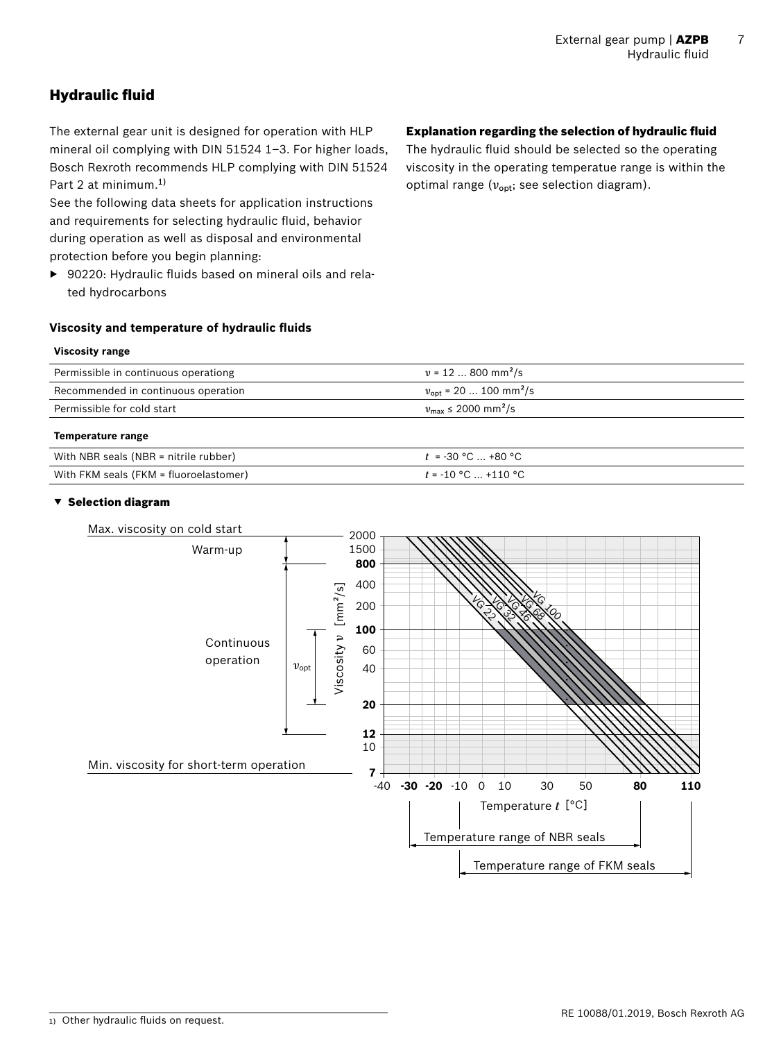# <span id="page-6-0"></span>Hydraulic fluid

The external gear unit is designed for operation with HLP mineral oil complying with DIN 51524 1–3. For higher loads, Bosch Rexroth recommends HLP complying with DIN 51524 Part 2 at minimum.1)

See the following data sheets for application instructions and requirements for selecting hydraulic fluid, behavior during operation as well as disposal and environmental protection before you begin planning:

▶ 90220: Hydraulic fluids based on mineral oils and related hydrocarbons

# Explanation regarding the selection of hydraulic fluid

The hydraulic fluid should be selected so the operating viscosity in the operating temperatue range is within the optimal range ( $v_{\text{opt}}$ ; see selection diagram).

# **Viscosity and temperature of hydraulic fluids**

### **Viscosity range**

| Permissible in continuous operationg | $v = 12$ 800 mm <sup>2</sup> /s                 |
|--------------------------------------|-------------------------------------------------|
| Recommended in continuous operation  | $v_{\text{opt}}$ = 20  100 mm <sup>2</sup> /s   |
| Permissible for cold start           | $v_{\text{max}} \le 2000 \text{ mm}^2/\text{s}$ |
|                                      |                                                 |

#### **Temperature range**

| With NBR seals (NBR = nitrile rubber)  | $t = -30$ °C $\ldots$ +80 °C |
|----------------------------------------|------------------------------|
| With FKM seals (FKM = fluoroelastomer) | $t = -10$ °C  +110 °C        |

#### ▼ Selection diagram



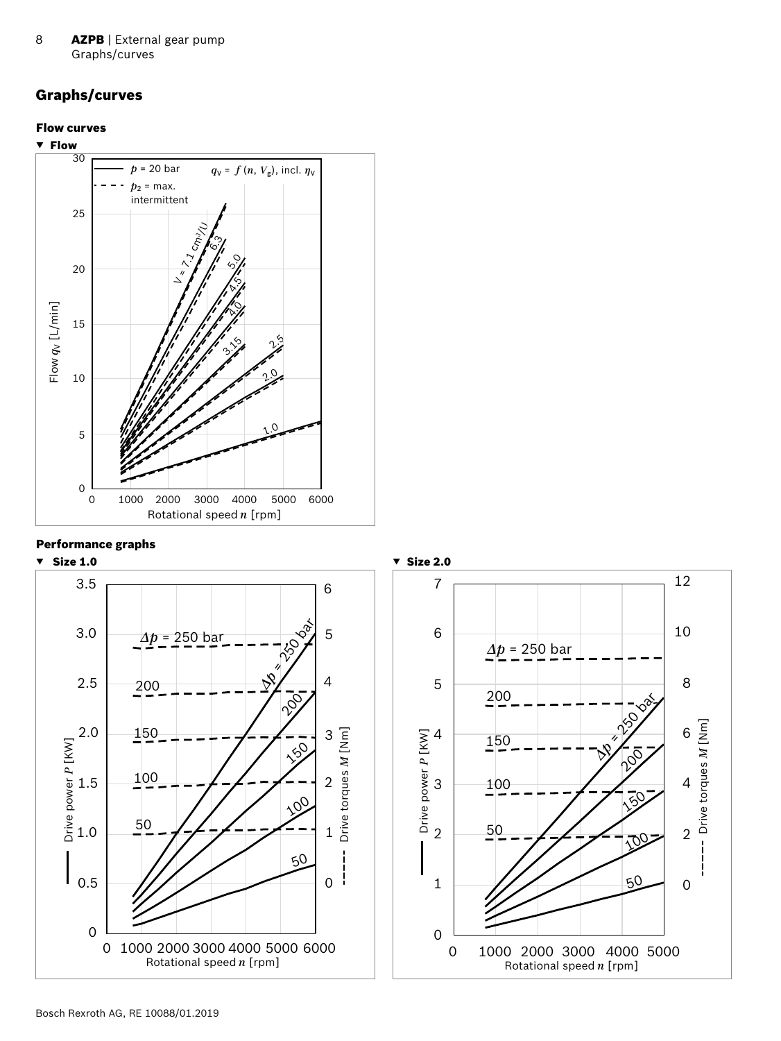<span id="page-7-0"></span>8 **AZPB** | External gear pump Graphs/curves

# Graphs/curves

#### Flow curves



#### Performance graphs



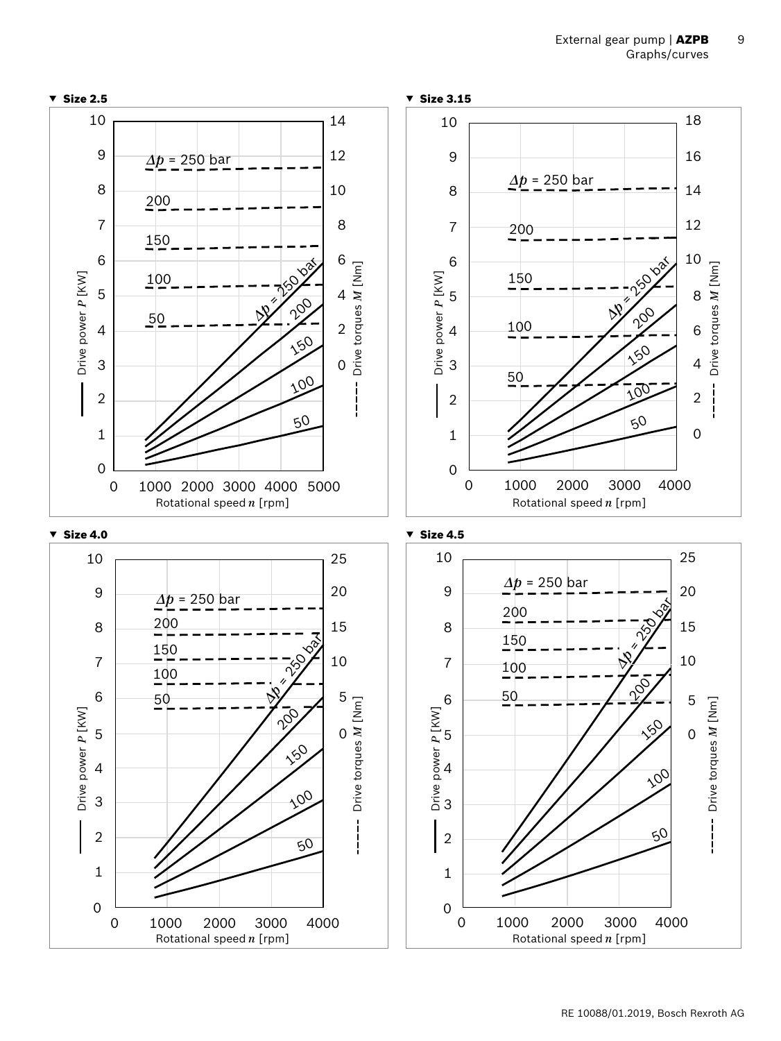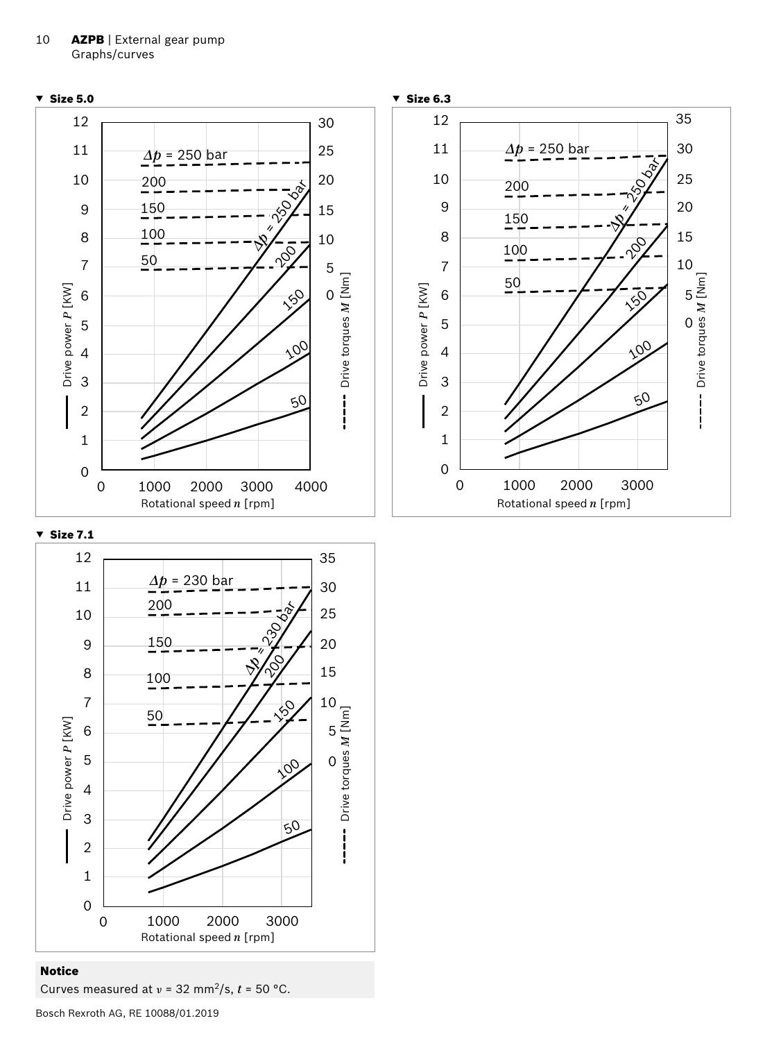



#### Notice

Bosch Rexroth AG, RE 10088/01.2019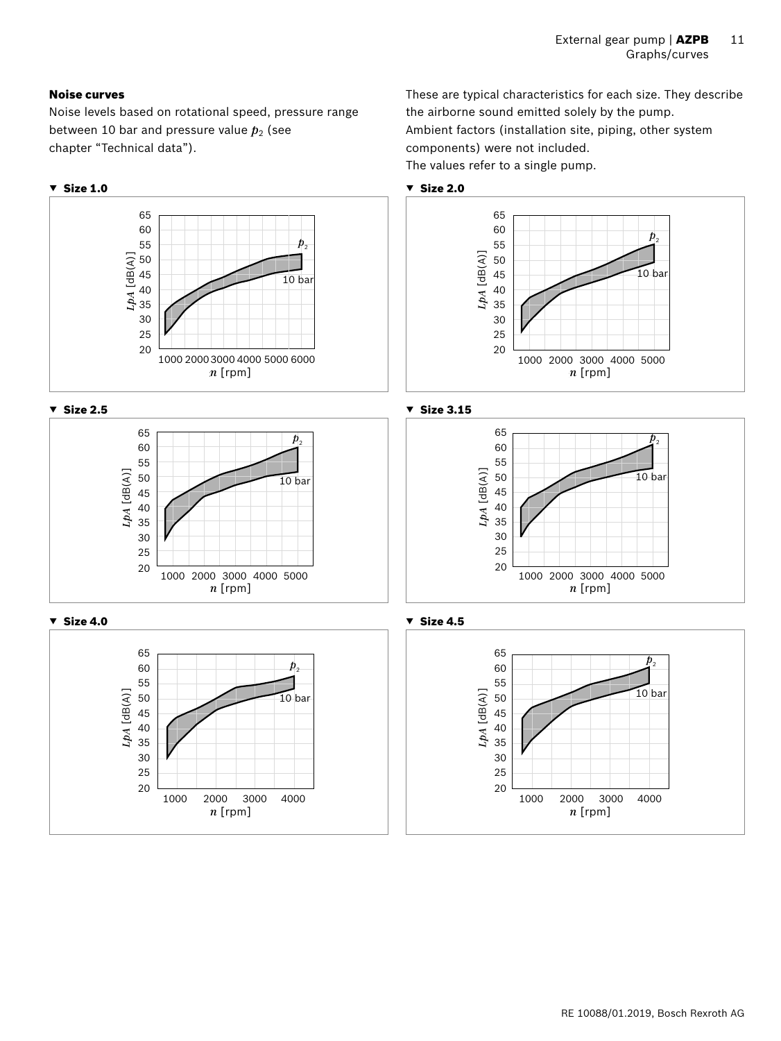These are typical characteristics for each size. They describe

the airborne sound emitted solely by the pump.

components) were not included.

Ambient factors (installation site, piping, other system

#### Noise curves

Noise levels based on rotational speed, pressure range between 10 bar and pressure value  $p_2$  (see chapter "Technical data").

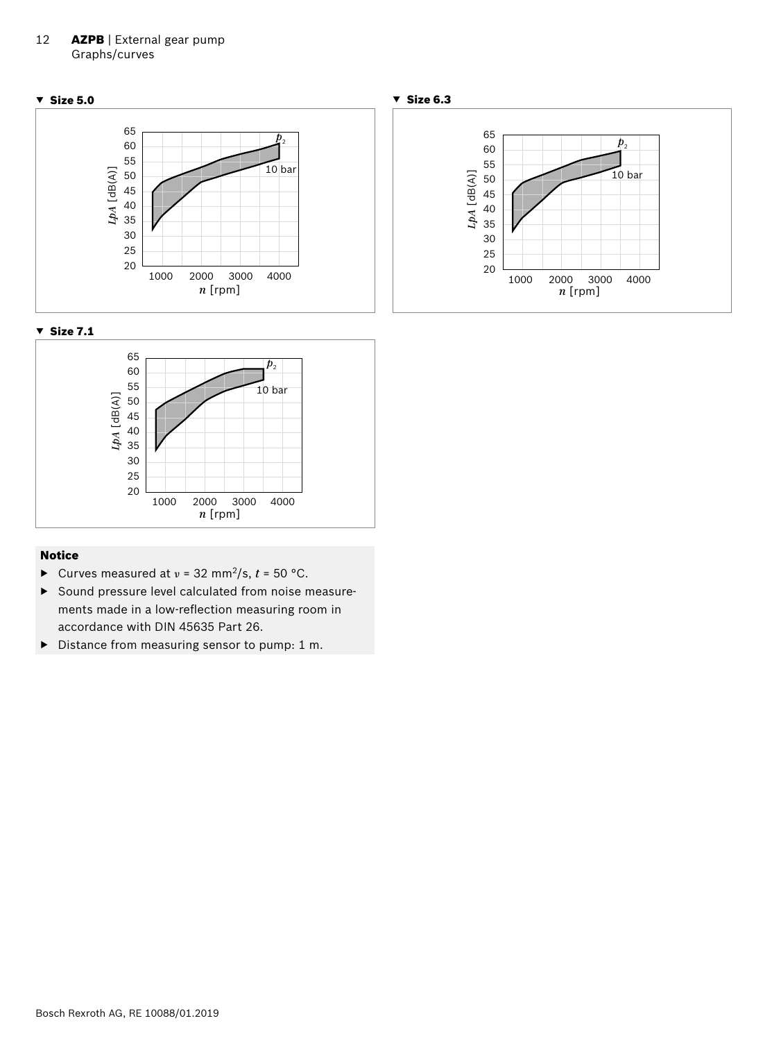#### 12 **AZPB** | External gear pump Graphs/curves





#### Notice

- ▶ Curves measured at *ν* = 32 mm2/s, *t* = 50 °C.
- ▶ Sound pressure level calculated from noise measurements made in a low-reflection measuring room in accordance with DIN 45635 Part 26.
- ▶ Distance from measuring sensor to pump: 1 m.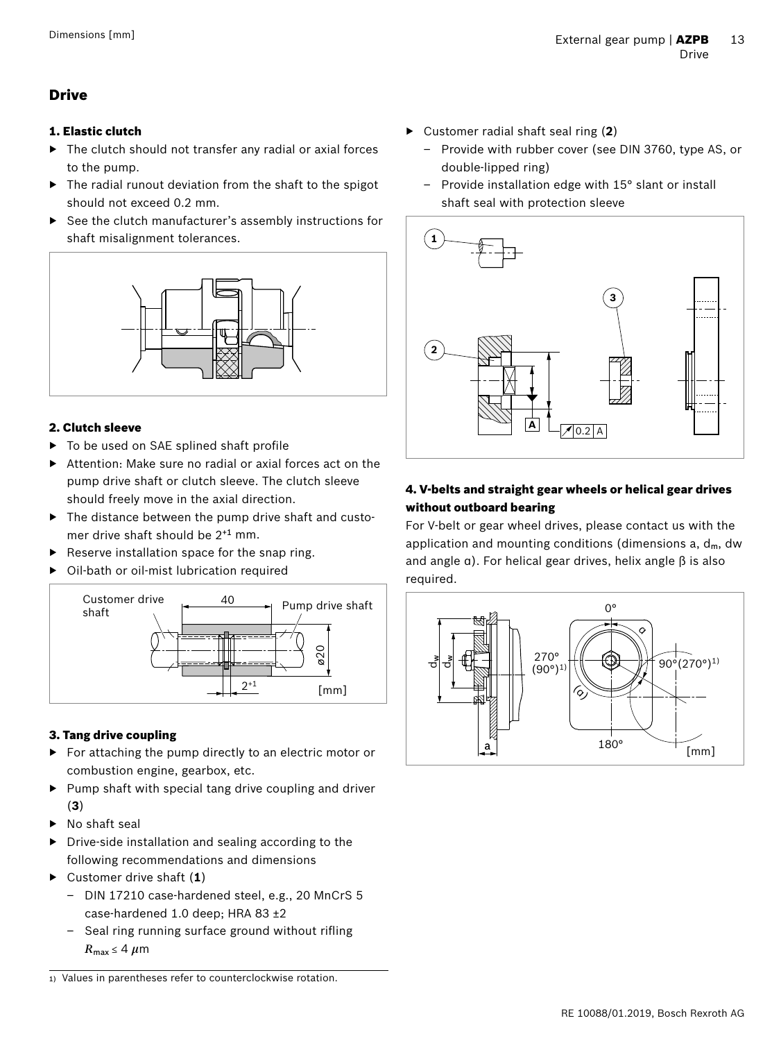# <span id="page-12-0"></span>Drive

#### 1. Elastic clutch

- The clutch should not transfer any radial or axial forces to the pump.
- ▶ The radial runout deviation from the shaft to the spigot should not exceed 0.2 mm.
- See the clutch manufacturer's assembly instructions for shaft misalignment tolerances.



#### 2. Clutch sleeve

- To be used on SAE splined shaft profile
- ▶ Attention: Make sure no radial or axial forces act on the pump drive shaft or clutch sleeve. The clutch sleeve should freely move in the axial direction.
- $\blacktriangleright$  The distance between the pump drive shaft and customer drive shaft should be 2+1 mm.
- Reserve installation space for the snap ring.
- Oil-bath or oil-mist lubrication required



#### 3. Tang drive coupling

- ▶ For attaching the pump directly to an electric motor or combustion engine, gearbox, etc.
- ▶ Pump shaft with special tang drive coupling and driver (**3**)
- ▶ No shaft seal
- ▶ Drive-side installation and sealing according to the following recommendations and dimensions
- ▶ Customer drive shaft (**1**)
	- DIN 17210 case-hardened steel, e.g., 20 MnCrS 5 case-hardened 1.0 deep; HRA 83 ±2
	- Seal ring running surface ground without rifling  $R_{\text{max}} \leq 4 \ \mu \text{m}$

1) Values in parentheses refer to counterclockwise rotation.

- ▶ Customer radial shaft seal ring (**2**)
	- Provide with rubber cover (see DIN 3760, type AS, or double-lipped ring)
	- Provide installation edge with 15° slant or install shaft seal with protection sleeve



# 4. V-belts and straight gear wheels or helical gear drives without outboard bearing

For V-belt or gear wheel drives, please contact us with the application and mounting conditions (dimensions  $a, d_m, dw$ ) and angle α). For helical gear drives, helix angle β is also required.

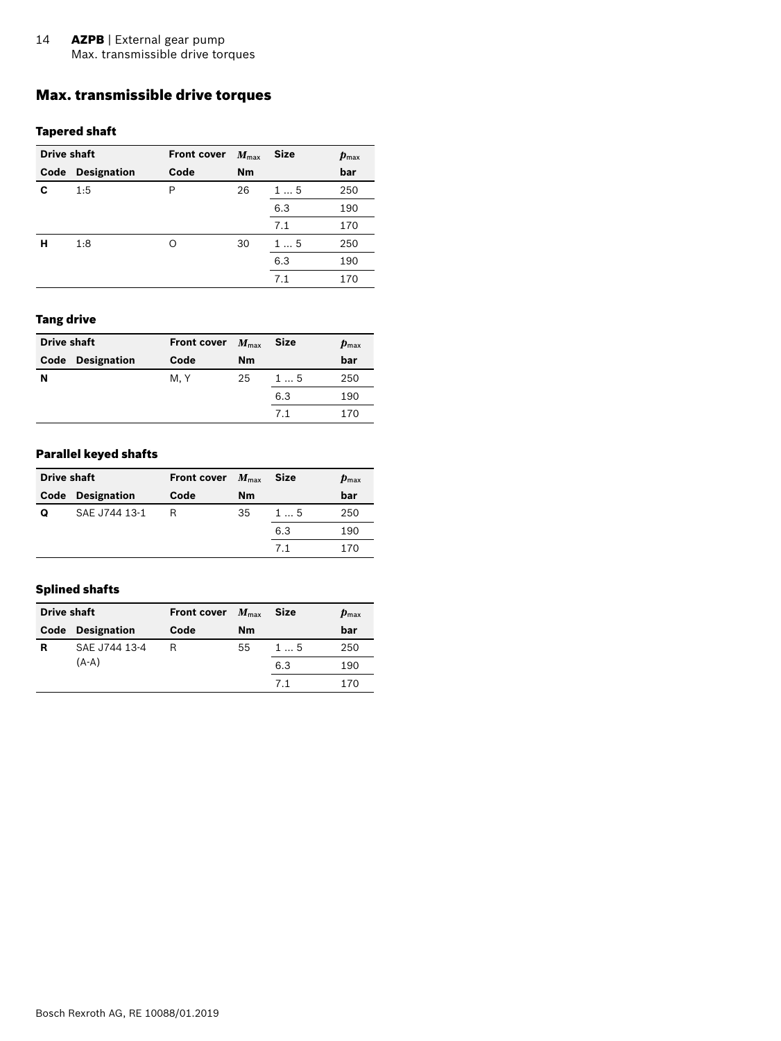# <span id="page-13-0"></span>Max. transmissible drive torques

#### Tapered shaft

| Drive shaft |                    | <b>Front cover</b> | $M_{\text{max}}$ | <b>Size</b> | $\boldsymbol{p}_{\text{max}}$ |
|-------------|--------------------|--------------------|------------------|-------------|-------------------------------|
| Code        | <b>Designation</b> | Code               | <b>Nm</b>        |             | bar                           |
| C           | 1:5                | P                  | 26               | 15          | 250                           |
|             |                    |                    |                  | 6.3         | 190                           |
|             |                    |                    |                  | 7.1         | 170                           |
| н           | 1:8                | Ω                  | 30               | 15          | 250                           |
|             |                    |                    |                  | 6.3         | 190                           |
|             |                    |                    |                  | 7.1         | 170                           |

#### Tang drive

| <b>Drive shaft</b> |                         | <b>Front cover</b> | $M_{\rm max}$ | <b>Size</b> | $\boldsymbol{p}_{\text{max}}$ |
|--------------------|-------------------------|--------------------|---------------|-------------|-------------------------------|
|                    | <b>Code Designation</b> | Code               | Nm            |             | bar                           |
| N                  |                         | M, Y               | 25            | 15          | 250                           |
|                    |                         |                    |               | 6.3         | 190                           |
|                    |                         |                    |               | 71          | 170                           |

#### Parallel keyed shafts

| <b>Drive shaft</b> |                                  | <b>Front cover</b> | $M_{\rm max}$ | <b>Size</b> | $\boldsymbol{p}_{\text{max}}$ |
|--------------------|----------------------------------|--------------------|---------------|-------------|-------------------------------|
| Code               | <b>Designation</b><br>Code<br>Nm |                    |               |             | bar                           |
| Ω                  | SAE J744 13-1                    | R                  | 35            | 15          | 250                           |
|                    |                                  |                    |               | 6.3         | 190                           |
|                    |                                  |                    |               | 71          | 170                           |

#### Splined shafts

| <b>Drive shaft</b> |                         | <b>Front cover</b> | $M_{\rm max}$ | <b>Size</b> | $\boldsymbol{p}_{\text{max}}$ |
|--------------------|-------------------------|--------------------|---------------|-------------|-------------------------------|
|                    | <b>Code Designation</b> | Code               | Nm            |             | bar                           |
| R                  | SAE J744 13-4           | R                  | 55            | 15          | 250                           |
|                    | $(A-A)$                 |                    |               | 6.3         | 190                           |
|                    |                         |                    |               | 71          | 170                           |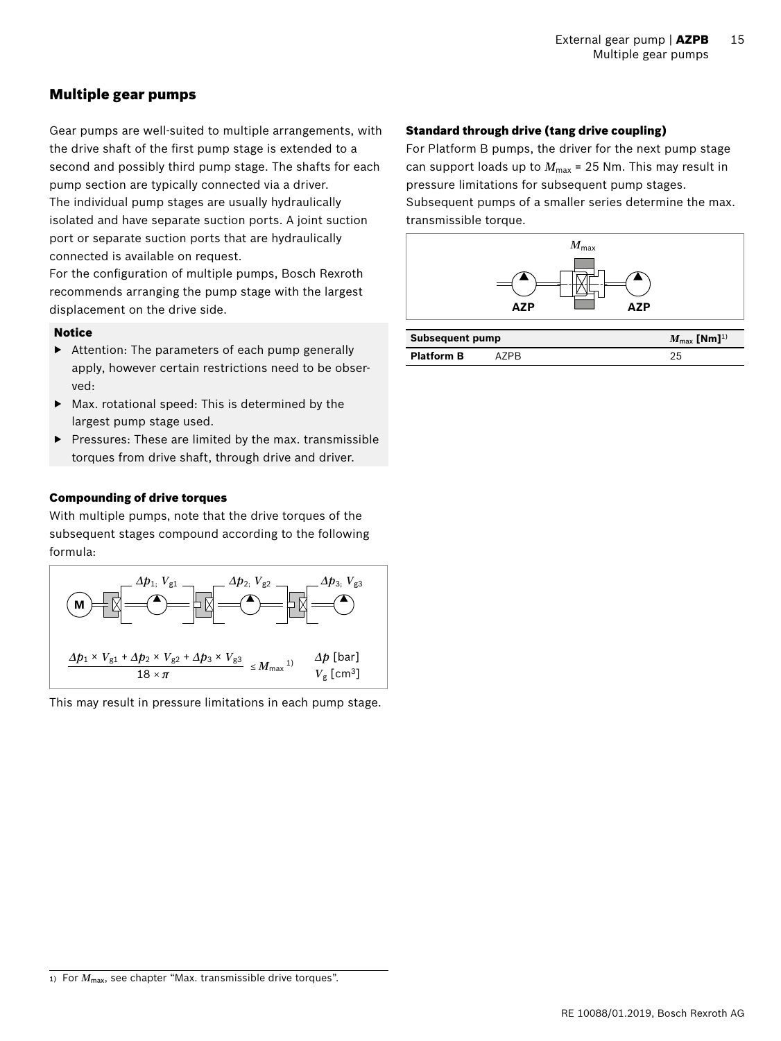# <span id="page-14-0"></span>Multiple gear pumps

Gear pumps are well-suited to multiple arrangements, with the drive shaft of the first pump stage is extended to a second and possibly third pump stage. The shafts for each pump section are typically connected via a driver. The individual pump stages are usually hydraulically isolated and have separate suction ports. A joint suction port or separate suction ports that are hydraulically connected is available on request.

For the configuration of multiple pumps, Bosch Rexroth recommends arranging the pump stage with the largest displacement on the drive side.

#### Notice

- ▶ Attention: The parameters of each pump generally apply, however certain restrictions need to be observed:
- ▶ Max. rotational speed: This is determined by the largest pump stage used.
- ▶ Pressures: These are limited by the max. transmissible torques from drive shaft, through drive and driver.

#### Compounding of drive torques

With multiple pumps, note that the drive torques of the subsequent stages compound according to the following formula:



This may result in pressure limitations in each pump stage.

#### Standard through drive (tang drive coupling)

For Platform B pumps, the driver for the next pump stage can support loads up to  $M_{\text{max}}$  = 25 Nm. This may result in pressure limitations for subsequent pump stages.

Subsequent pumps of a smaller series determine the max. transmissible torque.



| Subsequent pump   | $M_{\rm max}$ [Nm] <sup>1)</sup> |  |
|-------------------|----------------------------------|--|
| <b>Platform B</b> | A7PR.                            |  |

<sup>1)</sup> For  $M_{\text{max}}$ , see chapter "Max. transmissible drive torques".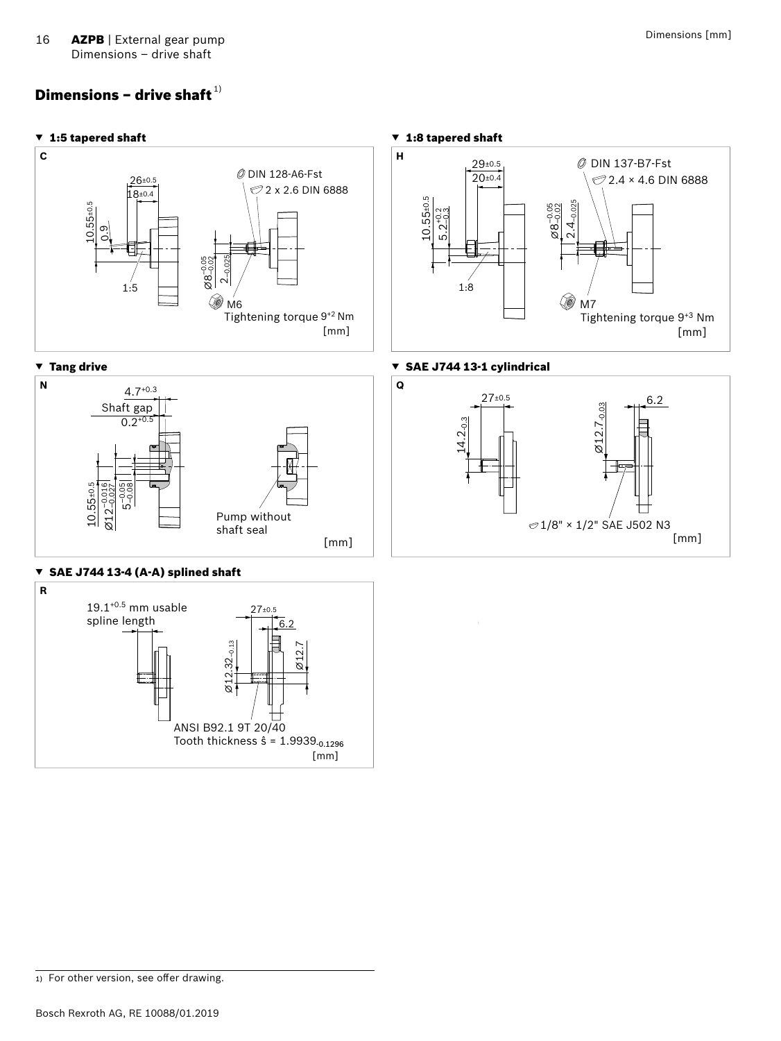# <span id="page-15-0"></span>Dimensions – drive shaft $^{\mathtt{1)}}$





<sup>1)</sup> For other version, see offer drawing.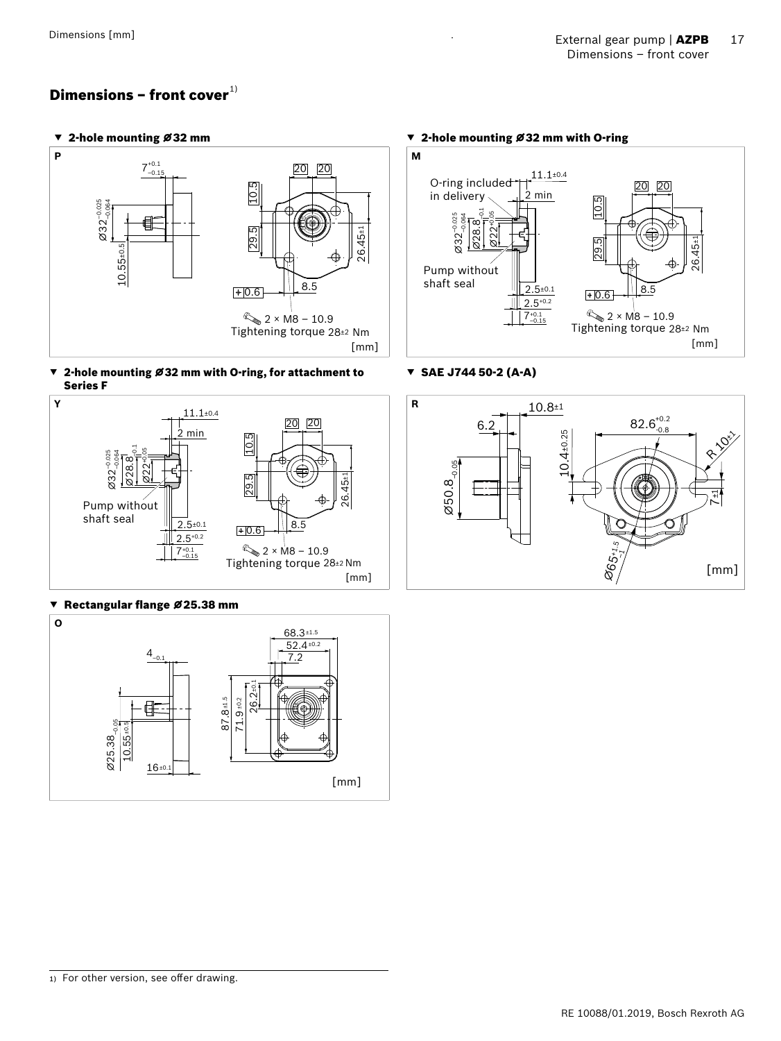# <span id="page-16-0"></span>Dimensions – front cover $^{\text{\tiny{1)}}}$



▼ 2-hole mounting ⌀32 mm with O-ring, for attachment to Series F



#### ▼ Rectangular flange ⌀25.38 mm





▼ SAE J744 50-2 (A-A)

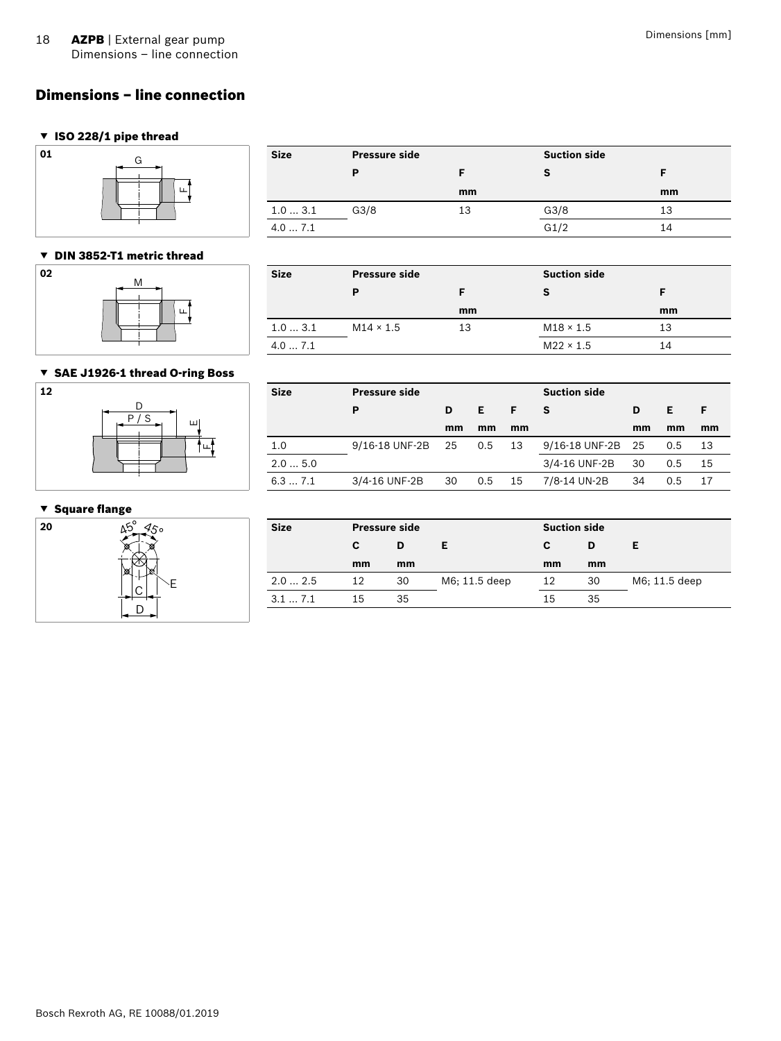# <span id="page-17-0"></span>Dimensions – line connection

#### ▼ ISO 228/1 pipe thread



#### ▼ DIN 3852-T1 metric thread



| G | <b>Size</b> | <b>Pressure side</b> |    | <b>Suction side</b> |    |
|---|-------------|----------------------|----|---------------------|----|
|   |             |                      |    |                     |    |
|   |             |                      | mm |                     | mm |
|   | 1.03.1      | G3/8                 | 13 | G3/8                | 13 |
|   | 4.07.1      |                      |    | G1/2                | 14 |

# **Size Pressure side Suction side P F S F mm mm** 1.0 ... 3.1 M14 × 1.5 13 M18 × 1.5 13

4.0 ... 7.1 M22 × 1.5 M22 × 1.5

#### ▼ SAE J1926-1 thread O-ring Boss



# **Size Pressure side Suction side P D E F S D E F mm mm mm mm mm mm** 1.0 9/16-18 UNF-2B 25 0.5 13 9/16-18 UNF-2B 25 0.5 13 2.0 ... 5.0 3/4-16 UNF-2B 30 0.5 15 6.3 ... 7.1 3/4-16 UNF-2B 30 0.5 15 7/8-14 UN-2B 34 0.5 17

#### ▼ Square flange



| 20<br>$45 - 450$ | <b>Size</b> |    | <b>Pressure side</b> |               |    | <b>Suction side</b> |               |  |
|------------------|-------------|----|----------------------|---------------|----|---------------------|---------------|--|
|                  |             | C  | D                    |               |    | D                   | Е             |  |
| l⊠ri<br>l w      |             | mm | mm                   |               | mm | mm                  |               |  |
| ⌒                | 2.02.5      | 12 | 30                   | M6; 11.5 deep | 12 | 30                  | M6; 11.5 deep |  |
| n                | 3.1 7.1     | 15 | 35                   |               | 15 | 35                  |               |  |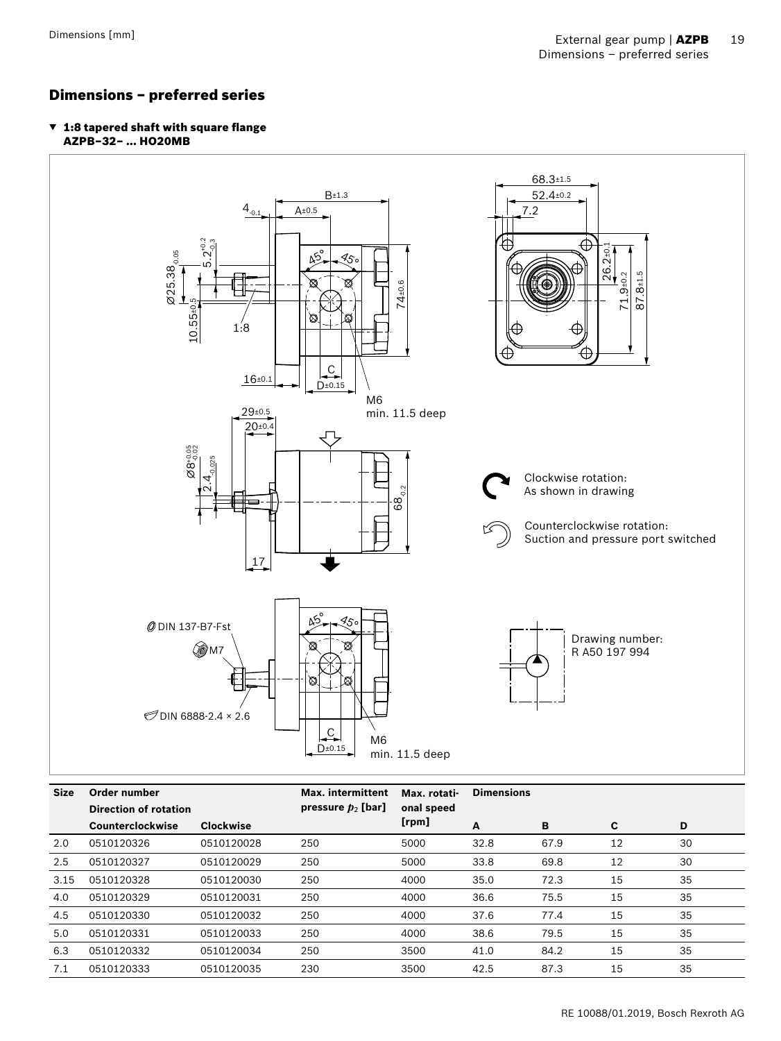# <span id="page-18-0"></span>Dimensions – preferred series

▼ 1:8 tapered shaft with square flange AZPB–32– … HO20MB



| <b>Size</b> | Order number                 |                  | <b>Max.</b> intermittent | Max. rotati- | <b>Dimensions</b> |      |    |    |  |  |
|-------------|------------------------------|------------------|--------------------------|--------------|-------------------|------|----|----|--|--|
|             | <b>Direction of rotation</b> |                  | pressure $p_2$ [bar]     | onal speed   |                   |      |    |    |  |  |
|             | Counterclockwise             | <b>Clockwise</b> |                          | [rpm]        | A                 | B    | C  | D  |  |  |
| 2.0         | 0510120326                   | 0510120028       | 250                      | 5000         | 32.8              | 67.9 | 12 | 30 |  |  |
| 2.5         | 0510120327                   | 0510120029       | 250                      | 5000         | 33.8              | 69.8 | 12 | 30 |  |  |
| 3.15        | 0510120328                   | 0510120030       | 250                      | 4000         | 35.0              | 72.3 | 15 | 35 |  |  |
| 4.0         | 0510120329                   | 0510120031       | 250                      | 4000         | 36.6              | 75.5 | 15 | 35 |  |  |
| 4.5         | 0510120330                   | 0510120032       | 250                      | 4000         | 37.6              | 77.4 | 15 | 35 |  |  |
| 5.0         | 0510120331                   | 0510120033       | 250                      | 4000         | 38.6              | 79.5 | 15 | 35 |  |  |
| 6.3         | 0510120332                   | 0510120034       | 250                      | 3500         | 41.0              | 84.2 | 15 | 35 |  |  |
| 7.1         | 0510120333                   | 0510120035       | 230                      | 3500         | 42.5              | 87.3 | 15 | 35 |  |  |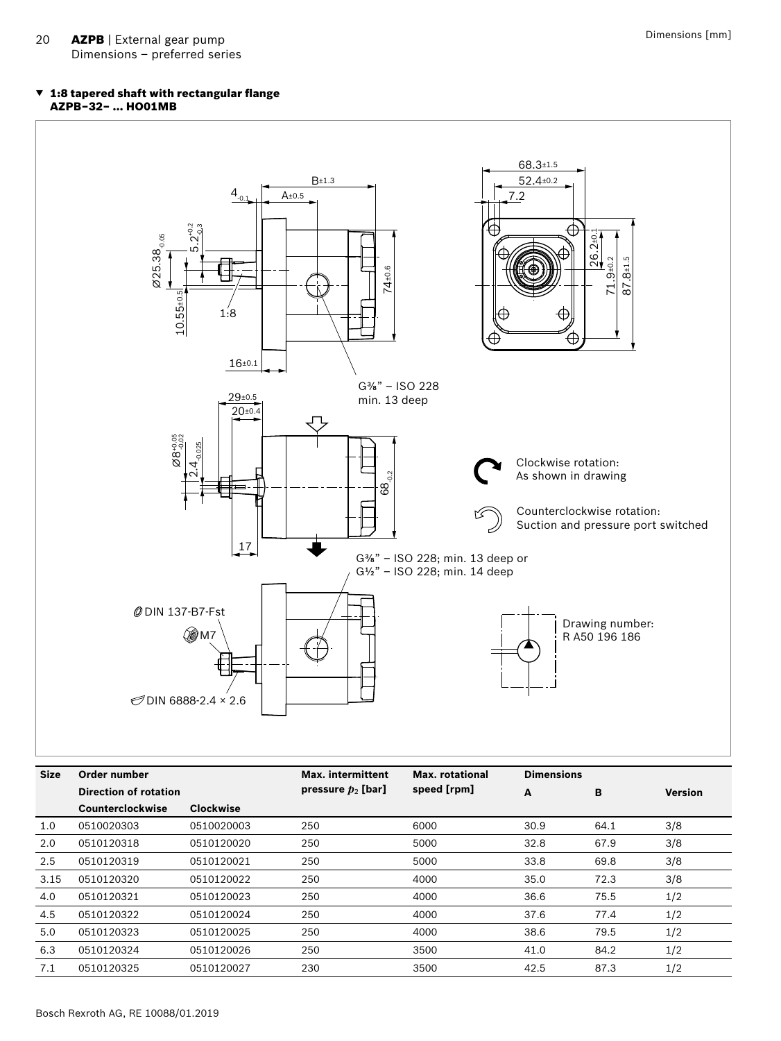#### ▼ 1:8 tapered shaft with rectangular flange AZPB–32– … HO01MB



| <b>Size</b> | Order number<br>Direction of rotation |                  | <b>Max.</b> intermittent | Max. rotational | <b>Dimensions</b> |      |                |
|-------------|---------------------------------------|------------------|--------------------------|-----------------|-------------------|------|----------------|
|             |                                       |                  | pressure $p_2$ [bar]     | speed [rpm]     | A                 | в    | <b>Version</b> |
|             | <b>Counterclockwise</b>               | <b>Clockwise</b> |                          |                 |                   |      |                |
| 1.0         | 0510020303                            | 0510020003       | 250                      | 6000            | 30.9              | 64.1 | 3/8            |
| 2.0         | 0510120318                            | 0510120020       | 250                      | 5000            | 32.8              | 67.9 | 3/8            |
| 2.5         | 0510120319                            | 0510120021       | 250                      | 5000            | 33.8              | 69.8 | 3/8            |
| 3.15        | 0510120320                            | 0510120022       | 250                      | 4000            | 35.0              | 72.3 | 3/8            |
| 4.0         | 0510120321                            | 0510120023       | 250                      | 4000            | 36.6              | 75.5 | 1/2            |
| 4.5         | 0510120322                            | 0510120024       | 250                      | 4000            | 37.6              | 77.4 | 1/2            |
| 5.0         | 0510120323                            | 0510120025       | 250                      | 4000            | 38.6              | 79.5 | 1/2            |
| 6.3         | 0510120324                            | 0510120026       | 250                      | 3500            | 41.0              | 84.2 | 1/2            |
| 7.1         | 0510120325                            | 0510120027       | 230                      | 3500            | 42.5              | 87.3 | 1/2            |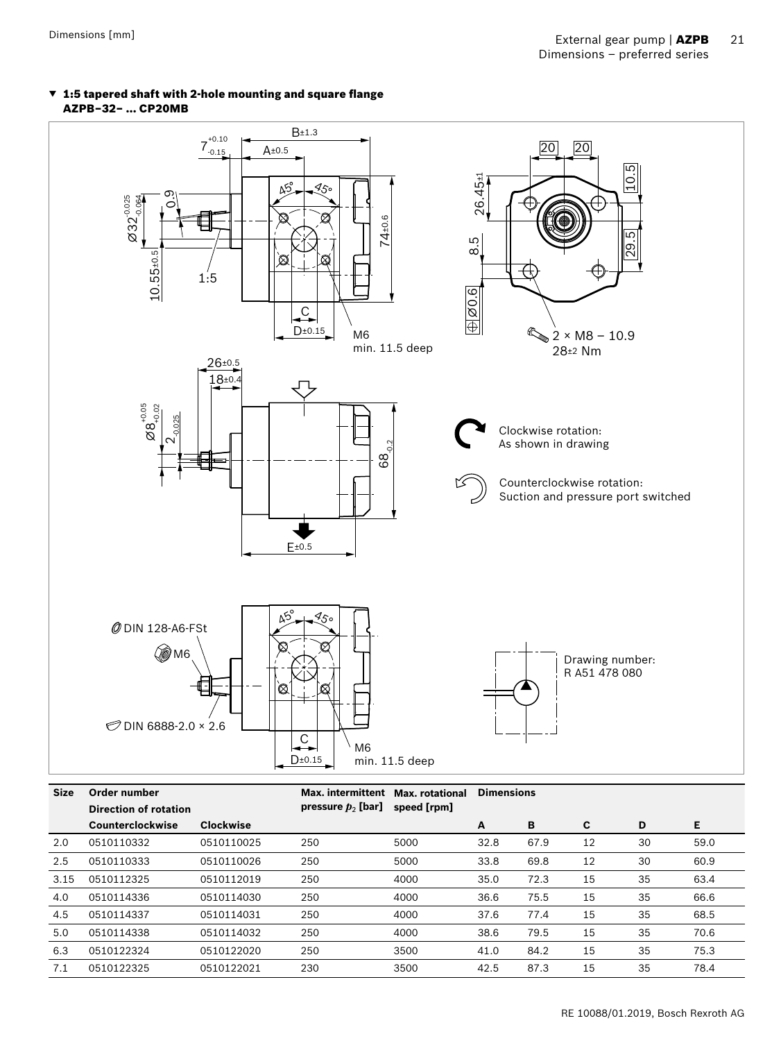#### ▼ 1:5 tapered shaft with 2-hole mounting and square flange AZPB–32– … CP20MB



| <b>Size</b> | Order number                 |                  | <b>Max.</b> intermittent | <b>Max.</b> rotational |      | <b>Dimensions</b> |    |    |      |  |  |
|-------------|------------------------------|------------------|--------------------------|------------------------|------|-------------------|----|----|------|--|--|
|             | <b>Direction of rotation</b> |                  | pressure $p_2$ [bar]     | speed [rpm]            |      |                   |    |    |      |  |  |
|             | Counterclockwise             | <b>Clockwise</b> |                          |                        | A    | B                 | C. | D  | Е    |  |  |
| 2.0         | 0510110332                   | 0510110025       | 250                      | 5000                   | 32.8 | 67.9              | 12 | 30 | 59.0 |  |  |
| 2.5         | 0510110333                   | 0510110026       | 250                      | 5000                   | 33.8 | 69.8              | 12 | 30 | 60.9 |  |  |
| 3.15        | 0510112325                   | 0510112019       | 250                      | 4000                   | 35.0 | 72.3              | 15 | 35 | 63.4 |  |  |
| 4.0         | 0510114336                   | 0510114030       | 250                      | 4000                   | 36.6 | 75.5              | 15 | 35 | 66.6 |  |  |
| 4.5         | 0510114337                   | 0510114031       | 250                      | 4000                   | 37.6 | 77.4              | 15 | 35 | 68.5 |  |  |
| 5.0         | 0510114338                   | 0510114032       | 250                      | 4000                   | 38.6 | 79.5              | 15 | 35 | 70.6 |  |  |
| 6.3         | 0510122324                   | 0510122020       | 250                      | 3500                   | 41.0 | 84.2              | 15 | 35 | 75.3 |  |  |
| 7.1         | 0510122325                   | 0510122021       | 230                      | 3500                   | 42.5 | 87.3              | 15 | 35 | 78.4 |  |  |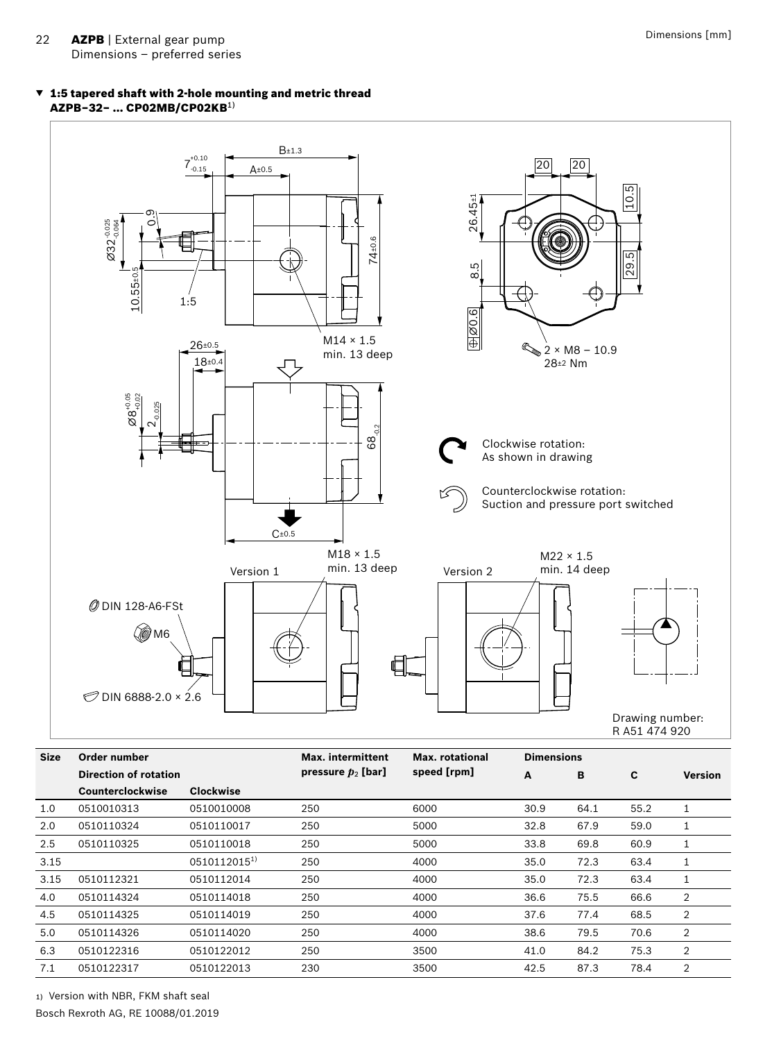#### ▼ 1:5 tapered shaft with 2-hole mounting and metric thread AZPB–32– … CP02MB/CP02KB1)



| <b>Size</b> | Order number                 |                  | max. Intermittent    | Max. rotational | <b>Dimensions</b> |      |      |                |  |
|-------------|------------------------------|------------------|----------------------|-----------------|-------------------|------|------|----------------|--|
|             | <b>Direction of rotation</b> |                  | pressure $p_2$ [bar] | speed [rpm]     | A                 | B    | C    | <b>Version</b> |  |
|             | Counterclockwise             | <b>Clockwise</b> |                      |                 |                   |      |      |                |  |
| 1.0         | 0510010313                   | 0510010008       | 250                  | 6000            | 30.9              | 64.1 | 55.2 |                |  |
| 2.0         | 0510110324                   | 0510110017       | 250                  | 5000            | 32.8              | 67.9 | 59.0 | Ŧ.             |  |
| 2.5         | 0510110325                   | 0510110018       | 250                  | 5000            | 33.8              | 69.8 | 60.9 | Ŧ              |  |
| 3.15        |                              | 05101120151)     | 250                  | 4000            | 35.0              | 72.3 | 63.4 |                |  |
| 3.15        | 0510112321                   | 0510112014       | 250                  | 4000            | 35.0              | 72.3 | 63.4 |                |  |
| 4.0         | 0510114324                   | 0510114018       | 250                  | 4000            | 36.6              | 75.5 | 66.6 | $\overline{2}$ |  |
| 4.5         | 0510114325                   | 0510114019       | 250                  | 4000            | 37.6              | 77.4 | 68.5 | $\overline{2}$ |  |
| 5.0         | 0510114326                   | 0510114020       | 250                  | 4000            | 38.6              | 79.5 | 70.6 | 2              |  |
| 6.3         | 0510122316                   | 0510122012       | 250                  | 3500            | 41.0              | 84.2 | 75.3 | $\overline{2}$ |  |
| 7.1         | 0510122317                   | 0510122013       | 230                  | 3500            | 42.5              | 87.3 | 78.4 | $\overline{2}$ |  |

Bosch Rexroth AG, RE 10088/01.2019 1) Version with NBR, FKM shaft seal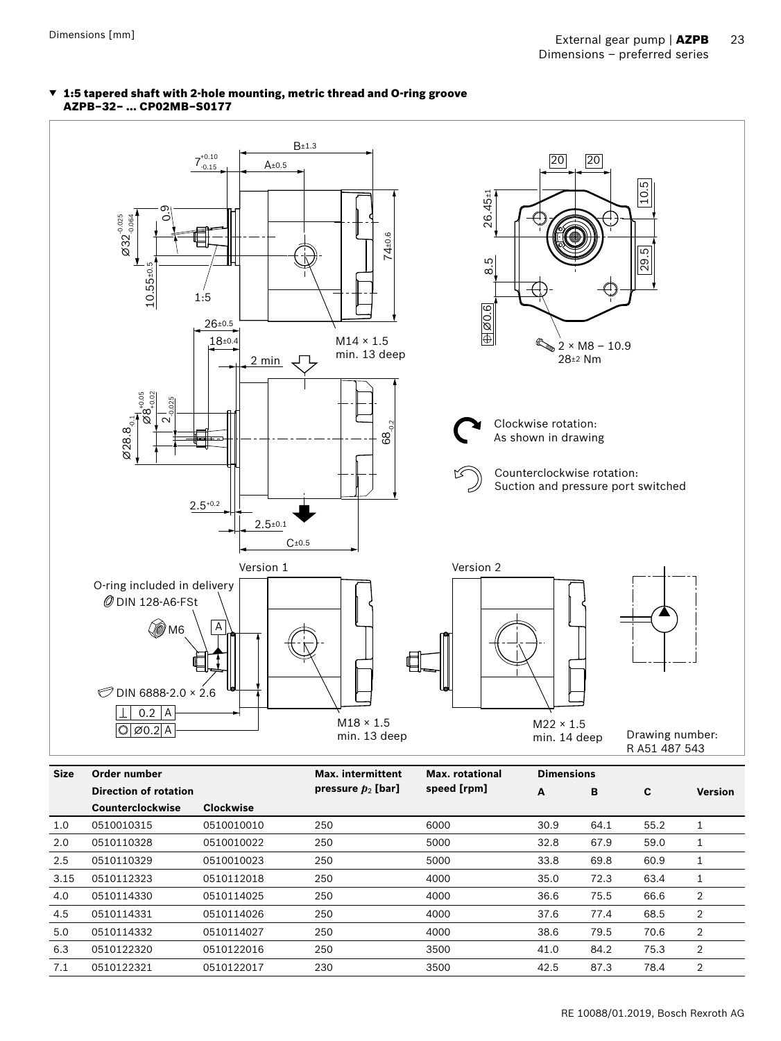#### ▼ 1:5 tapered shaft with 2-hole mounting, metric thread and O-ring groove AZPB–32– … CP02MB–S0177



|      | Direction of rotation |                  | pressure $p_2$ [bar] | speed [rpm] | A    | B    | C    | <b>Version</b> |
|------|-----------------------|------------------|----------------------|-------------|------|------|------|----------------|
|      | Counterclockwise      | <b>Clockwise</b> |                      |             |      |      |      |                |
| 1.0  | 0510010315            | 0510010010       | 250                  | 6000        | 30.9 | 64.1 | 55.2 |                |
| 2.0  | 0510110328            | 0510010022       | 250                  | 5000        | 32.8 | 67.9 | 59.0 |                |
| 2.5  | 0510110329            | 0510010023       | 250                  | 5000        | 33.8 | 69.8 | 60.9 |                |
| 3.15 | 0510112323            | 0510112018       | 250                  | 4000        | 35.0 | 72.3 | 63.4 |                |
| 4.0  | 0510114330            | 0510114025       | 250                  | 4000        | 36.6 | 75.5 | 66.6 | 2              |
| 4.5  | 0510114331            | 0510114026       | 250                  | 4000        | 37.6 | 77.4 | 68.5 | 2              |
| 5.0  | 0510114332            | 0510114027       | 250                  | 4000        | 38.6 | 79.5 | 70.6 | 2              |
| 6.3  | 0510122320            | 0510122016       | 250                  | 3500        | 41.0 | 84.2 | 75.3 | 2              |
| 7.1  | 0510122321            | 0510122017       | 230                  | 3500        | 42.5 | 87.3 | 78.4 | 2              |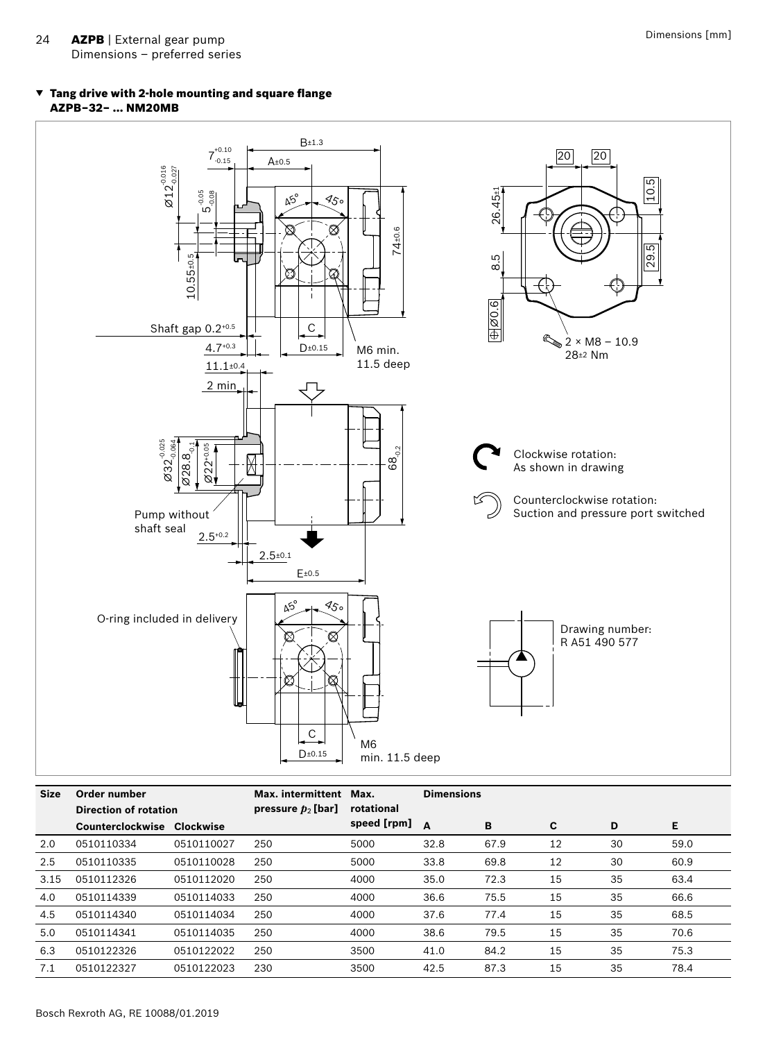#### ▼ Tang drive with 2-hole mounting and square flange AZPB–32– … NM20MB



| <b>Size</b> | Order number<br>Direction of rotation |            | Max. intermittent    | Max.        | <b>Dimensions</b> |      |    |    |      |
|-------------|---------------------------------------|------------|----------------------|-------------|-------------------|------|----|----|------|
|             |                                       |            | pressure $p_2$ [bar] | rotational  |                   |      |    |    |      |
|             | Counterclockwise                      | Clockwise  |                      | speed [rpm] | A                 | B    | C  | D  | Е    |
| 2.0         | 0510110334                            | 0510110027 | 250                  | 5000        | 32.8              | 67.9 | 12 | 30 | 59.0 |
| 2.5         | 0510110335                            | 0510110028 | 250                  | 5000        | 33.8              | 69.8 | 12 | 30 | 60.9 |
| 3.15        | 0510112326                            | 0510112020 | 250                  | 4000        | 35.0              | 72.3 | 15 | 35 | 63.4 |
| 4.0         | 0510114339                            | 0510114033 | 250                  | 4000        | 36.6              | 75.5 | 15 | 35 | 66.6 |
| 4.5         | 0510114340                            | 0510114034 | 250                  | 4000        | 37.6              | 77.4 | 15 | 35 | 68.5 |
| 5.0         | 0510114341                            | 0510114035 | 250                  | 4000        | 38.6              | 79.5 | 15 | 35 | 70.6 |
| 6.3         | 0510122326                            | 0510122022 | 250                  | 3500        | 41.0              | 84.2 | 15 | 35 | 75.3 |
| 7.1         | 0510122327                            | 0510122023 | 230                  | 3500        | 42.5              | 87.3 | 15 | 35 | 78.4 |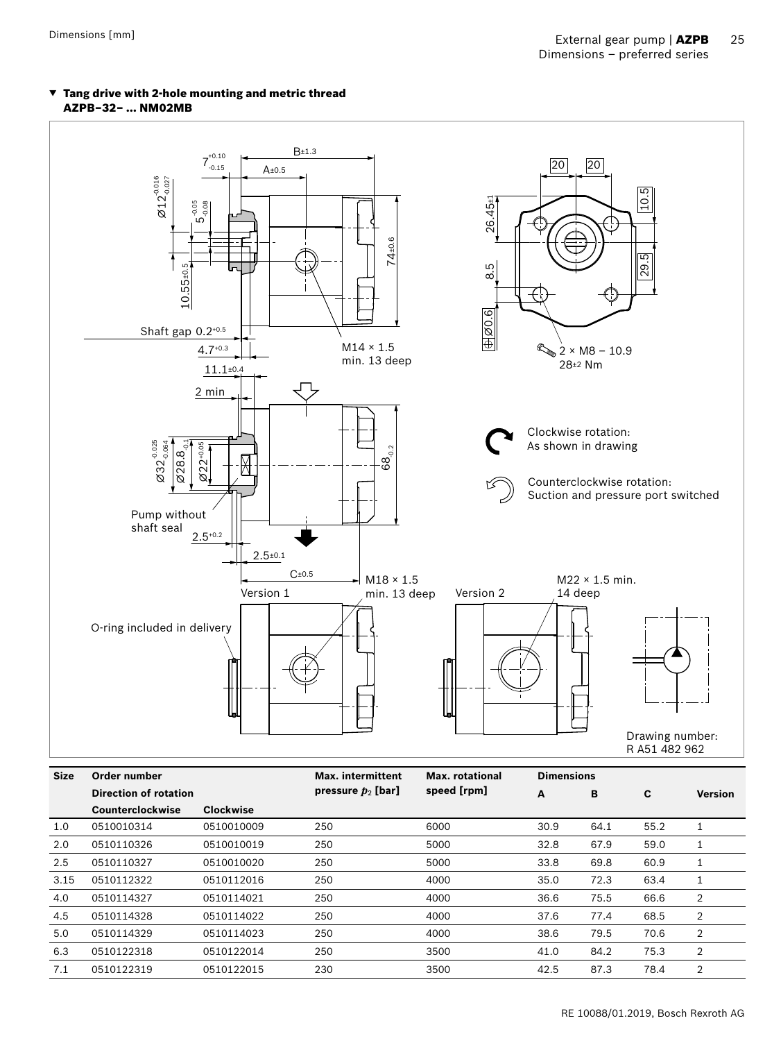

#### ▼ Tang drive with 2-hole mounting and metric thread AZPB–32– … NM02MB

| <b>Size</b> | Order number     |                              | <b>Max.</b> intermittent | Max. rotational                     |      | <b>Dimensions</b> |      |                |
|-------------|------------------|------------------------------|--------------------------|-------------------------------------|------|-------------------|------|----------------|
|             |                  | <b>Direction of rotation</b> |                          | speed [rpm]<br>pressure $p_2$ [bar] |      | в                 | C    | <b>Version</b> |
|             | Counterclockwise | <b>Clockwise</b>             |                          |                                     |      |                   |      |                |
| 1.0         | 0510010314       | 0510010009                   | 250                      | 6000                                | 30.9 | 64.1              | 55.2 |                |
| 2.0         | 0510110326       | 0510010019                   | 250                      | 5000                                | 32.8 | 67.9              | 59.0 |                |
| 2.5         | 0510110327       | 0510010020                   | 250                      | 5000                                | 33.8 | 69.8              | 60.9 | T              |
| 3.15        | 0510112322       | 0510112016                   | 250                      | 4000                                | 35.0 | 72.3              | 63.4 | 1              |
| 4.0         | 0510114327       | 0510114021                   | 250                      | 4000                                | 36.6 | 75.5              | 66.6 | 2              |
| 4.5         | 0510114328       | 0510114022                   | 250                      | 4000                                | 37.6 | 77.4              | 68.5 | 2              |
| 5.0         | 0510114329       | 0510114023                   | 250                      | 4000                                | 38.6 | 79.5              | 70.6 | 2              |
| 6.3         | 0510122318       | 0510122014                   | 250                      | 3500                                | 41.0 | 84.2              | 75.3 | 2              |
| 7.1         | 0510122319       | 0510122015                   | 230                      | 3500                                | 42.5 | 87.3              | 78.4 | 2              |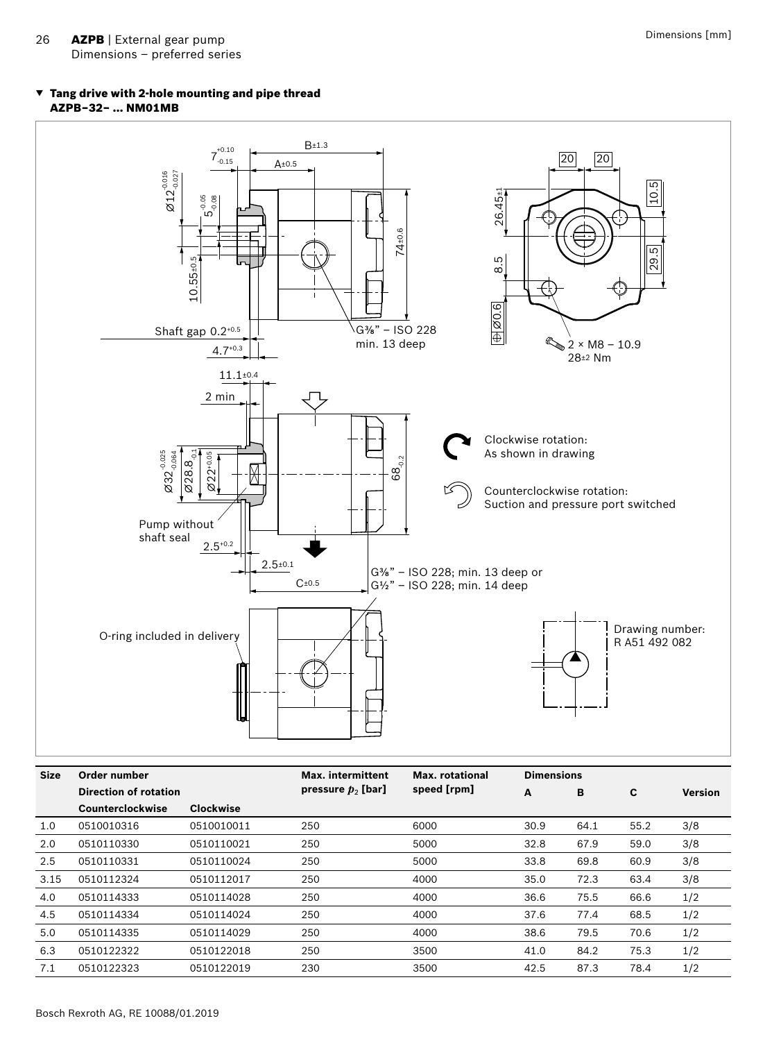#### ▼ Tang drive with 2-hole mounting and pipe thread AZPB–32– … NM01MB



| <b>Size</b> | Order number            |            | Max. intermittent    | Max. rotational | <b>Dimensions</b> |      |      |                |
|-------------|-------------------------|------------|----------------------|-----------------|-------------------|------|------|----------------|
|             | Direction of rotation   |            | pressure $p_2$ [bar] | speed [rpm]     | A                 | B    | C    | <b>Version</b> |
|             | <b>Counterclockwise</b> | Clockwise  |                      |                 |                   |      |      |                |
| 1.0         | 0510010316              | 0510010011 | 250                  | 6000            | 30.9              | 64.1 | 55.2 | 3/8            |
| 2.0         | 0510110330              | 0510110021 | 250                  | 5000            | 32.8              | 67.9 | 59.0 | 3/8            |
| 2.5         | 0510110331              | 0510110024 | 250                  | 5000            | 33.8              | 69.8 | 60.9 | 3/8            |
| 3.15        | 0510112324              | 0510112017 | 250                  | 4000            | 35.0              | 72.3 | 63.4 | 3/8            |
| 4.0         | 0510114333              | 0510114028 | 250                  | 4000            | 36.6              | 75.5 | 66.6 | 1/2            |
| 4.5         | 0510114334              | 0510114024 | 250                  | 4000            | 37.6              | 77.4 | 68.5 | 1/2            |
| 5.0         | 0510114335              | 0510114029 | 250                  | 4000            | 38.6              | 79.5 | 70.6 | 1/2            |
| 6.3         | 0510122322              | 0510122018 | 250                  | 3500            | 41.0              | 84.2 | 75.3 | 1/2            |
| 7.1         | 0510122323              | 0510122019 | 230                  | 3500            | 42.5              | 87.3 | 78.4 | 1/2            |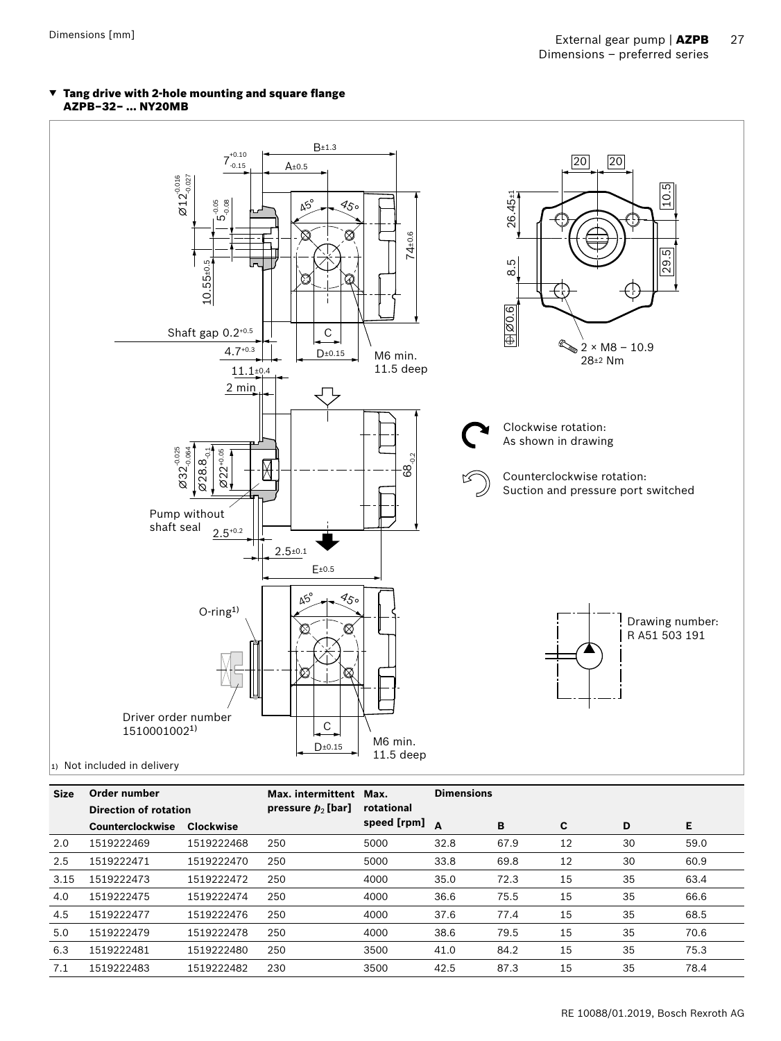



 $\vert$ <sub>1)</sub> Not included in delivery

| <b>Size</b> | Order number<br>Direction of rotation |            | Max. intermittent    | Max.        | <b>Dimensions</b> |      |    |    |      |
|-------------|---------------------------------------|------------|----------------------|-------------|-------------------|------|----|----|------|
|             |                                       |            | pressure $p_2$ [bar] | rotational  |                   |      |    |    |      |
|             | <b>Counterclockwise</b>               | Clockwise  |                      | speed [rpm] | $\Delta$          | B    | C  | D  | E    |
| 2.0         | 1519222469                            | 1519222468 | 250                  | 5000        | 32.8              | 67.9 | 12 | 30 | 59.0 |
| 2.5         | 1519222471                            | 1519222470 | 250                  | 5000        | 33.8              | 69.8 | 12 | 30 | 60.9 |
| 3.15        | 1519222473                            | 1519222472 | 250                  | 4000        | 35.0              | 72.3 | 15 | 35 | 63.4 |
| 4.0         | 1519222475                            | 1519222474 | 250                  | 4000        | 36.6              | 75.5 | 15 | 35 | 66.6 |
| 4.5         | 1519222477                            | 1519222476 | 250                  | 4000        | 37.6              | 77.4 | 15 | 35 | 68.5 |
| 5.0         | 1519222479                            | 1519222478 | 250                  | 4000        | 38.6              | 79.5 | 15 | 35 | 70.6 |
| 6.3         | 1519222481                            | 1519222480 | 250                  | 3500        | 41.0              | 84.2 | 15 | 35 | 75.3 |
| 7.1         | 1519222483                            | 1519222482 | 230                  | 3500        | 42.5              | 87.3 | 15 | 35 | 78.4 |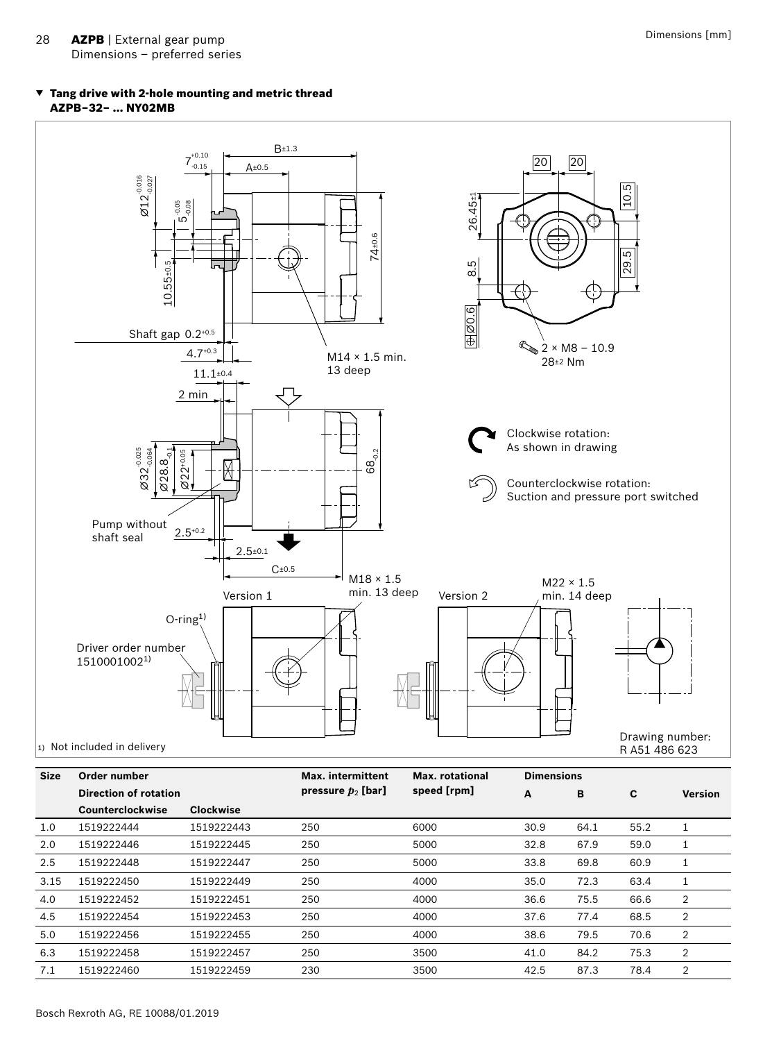#### ▼ Tang drive with 2-hole mounting and metric thread AZPB–32– … NY02MB



| <b>Size</b> | Order number<br>Direction of rotation |                  | <b>Max.</b> intermittent | <b>Max.</b> rotational |      | <b>Dimensions</b> |      |                |  |  |
|-------------|---------------------------------------|------------------|--------------------------|------------------------|------|-------------------|------|----------------|--|--|
|             |                                       |                  | pressure $p_2$ [bar]     | speed [rpm]            | A    | в                 | C    | <b>Version</b> |  |  |
|             | Counterclockwise                      | <b>Clockwise</b> |                          |                        |      |                   |      |                |  |  |
| 1.0         | 1519222444                            | 1519222443       | 250                      | 6000                   | 30.9 | 64.1              | 55.2 |                |  |  |
| 2.0         | 1519222446                            | 1519222445       | 250                      | 5000                   | 32.8 | 67.9              | 59.0 |                |  |  |
| 2.5         | 1519222448                            | 1519222447       | 250                      | 5000                   | 33.8 | 69.8              | 60.9 |                |  |  |
| 3.15        | 1519222450                            | 1519222449       | 250                      | 4000                   | 35.0 | 72.3              | 63.4 |                |  |  |
| 4.0         | 1519222452                            | 1519222451       | 250                      | 4000                   | 36.6 | 75.5              | 66.6 | $\overline{2}$ |  |  |
| 4.5         | 1519222454                            | 1519222453       | 250                      | 4000                   | 37.6 | 77.4              | 68.5 | 2              |  |  |
| 5.0         | 1519222456                            | 1519222455       | 250                      | 4000                   | 38.6 | 79.5              | 70.6 | $\overline{2}$ |  |  |
| 6.3         | 1519222458                            | 1519222457       | 250                      | 3500                   | 41.0 | 84.2              | 75.3 | 2              |  |  |
| 7.1         | 1519222460                            | 1519222459       | 230                      | 3500                   | 42.5 | 87.3              | 78.4 | 2              |  |  |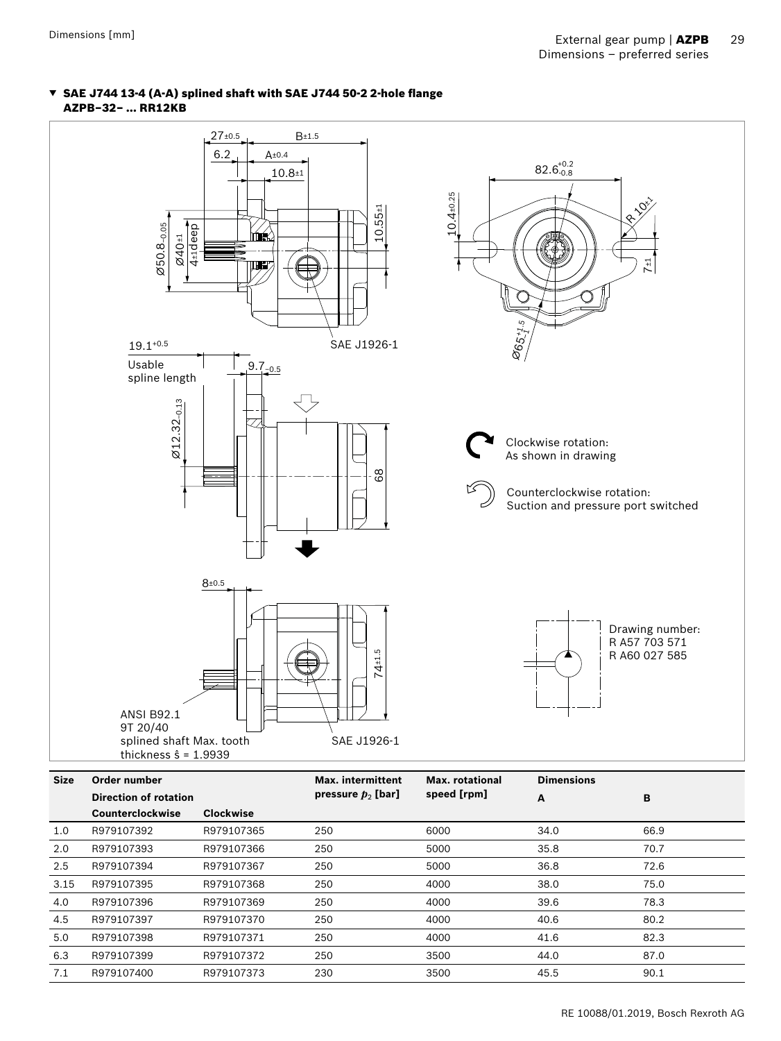#### ▼ SAE J744 13-4 (A-A) splined shaft with SAE J744 50-2 2-hole flange AZPB–32– … RR12KB

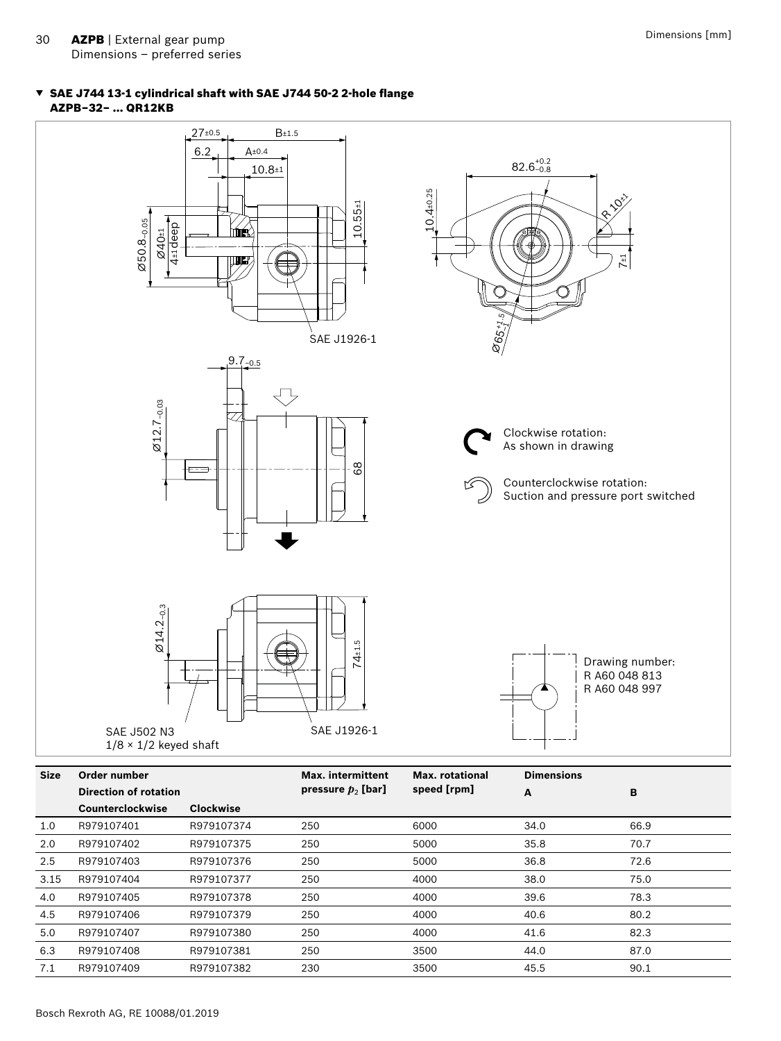#### ▼ SAE J744 13-1 cylindrical shaft with SAE J744 50-2 2-hole flange AZPB–32– … QR12KB



| <b>Size</b> | Order number                 |                  | Max. intermittent    | Max. rotational | <b>Dimensions</b> |      |  |  |
|-------------|------------------------------|------------------|----------------------|-----------------|-------------------|------|--|--|
|             | <b>Direction of rotation</b> |                  | pressure $p_2$ [bar] | speed [rpm]     | A                 | B    |  |  |
|             | <b>Counterclockwise</b>      | <b>Clockwise</b> |                      |                 |                   |      |  |  |
| 1.0         | R979107401                   | R979107374       | 250                  | 6000            | 34.0              | 66.9 |  |  |
| 2.0         | R979107402                   | R979107375       | 250                  | 5000            | 35.8              | 70.7 |  |  |
| 2.5         | R979107403                   | R979107376       | 250                  | 5000            | 36.8              | 72.6 |  |  |
| 3.15        | R979107404                   | R979107377       | 250                  | 4000            | 38.0              | 75.0 |  |  |
| 4.0         | R979107405                   | R979107378       | 250                  | 4000            | 39.6              | 78.3 |  |  |
| 4.5         | R979107406                   | R979107379       | 250                  | 4000            | 40.6              | 80.2 |  |  |
| 5.0         | R979107407                   | R979107380       | 250                  | 4000            | 41.6              | 82.3 |  |  |
| 6.3         | R979107408                   | R979107381       | 250                  | 3500            | 44.0              | 87.0 |  |  |
| 7.1         | R979107409                   | R979107382       | 230                  | 3500            | 45.5              | 90.1 |  |  |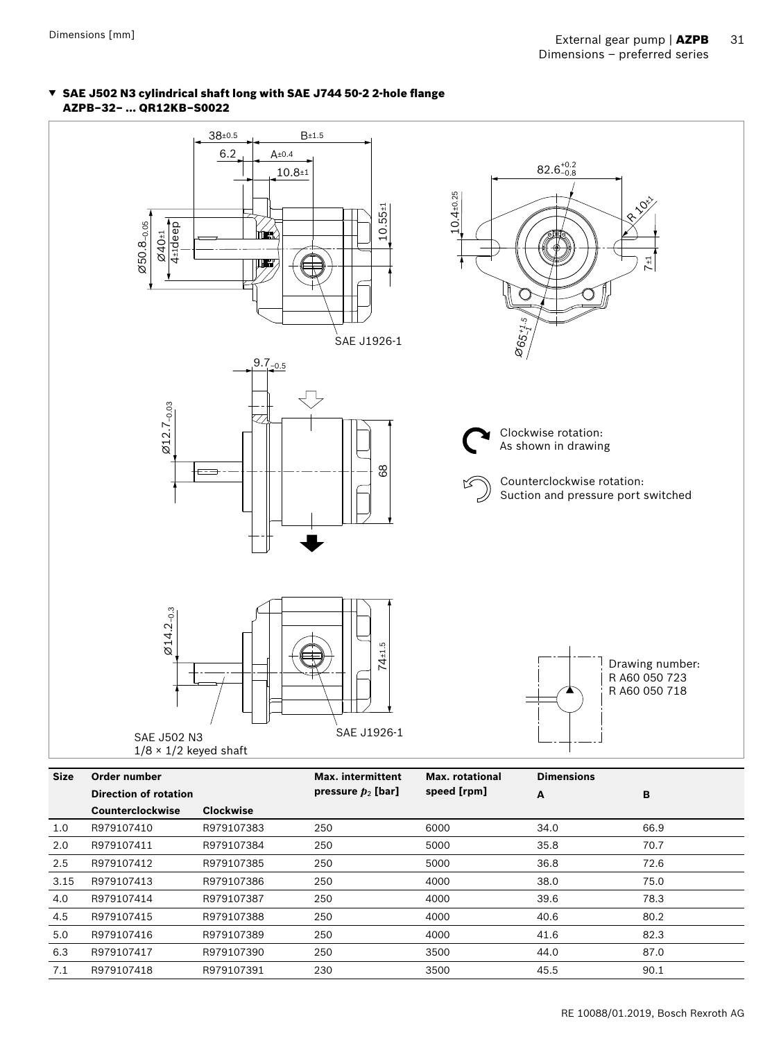#### ▼ SAE J502 N3 cylindrical shaft long with SAE J744 50-2 2-hole flange AZPB–32– … QR12KB–S0022



4.5 R979107415 R979107388 250 4000 40.6 80.2 5.0 R979107416 R979107389 250 4000 41.6 82.3 6.3 R979107417 R979107390 250 3500 44.0 87.0 7.1 R979107418 R979107391 230 3500 45.5 90.1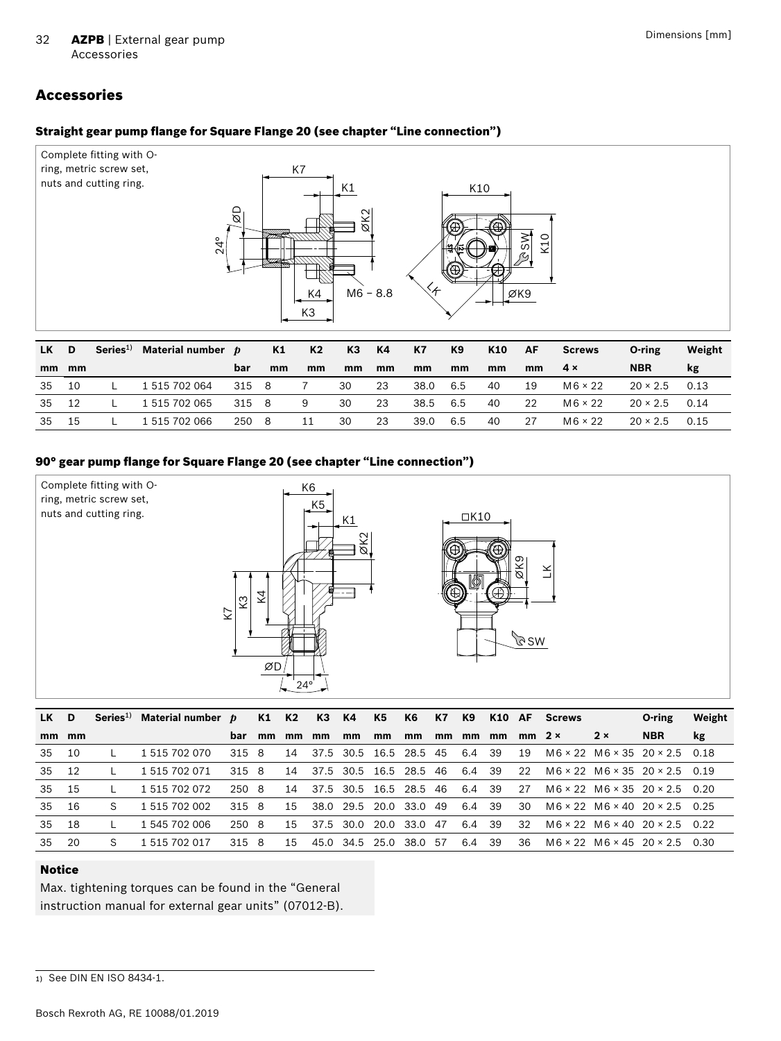# <span id="page-31-0"></span>Accessories

#### Straight gear pump flange for Square Flange 20 (see chapter "Line connection")



| LK .  | $\blacksquare$ | Series <sup>1)</sup> Material number $p$ |       | K1 | K2 | - КЗ | <b>K4</b> | K7   | K9  | K10 | <b>AF</b> | Screws         | O-ring               | Weight |
|-------|----------------|------------------------------------------|-------|----|----|------|-----------|------|-----|-----|-----------|----------------|----------------------|--------|
| mm mm |                |                                          | bar   | mm | mm | mm   | mm        | mm   | mm  | mm  | mm        | 4 x            | <b>NBR</b>           | kg     |
| 35    | - 10           | 1 515 702 064                            | 315 8 |    |    | 30   | -23       | 38.0 | 6.5 | 40  | 19        | $M6 \times 22$ | $20 \times 2.5$ 0.13 |        |
| 35 12 |                | 1 515 702 065                            | 315 8 |    | 9  | 30   | 23        | 38.5 | 6.5 | 40  | -22       | $M6 \times 22$ | $20 \times 2.5$ 0.14 |        |
| 35    | - 15           | 1 515 702 066                            | 250 8 |    | 11 | 30   | 23        | 39.0 | 6.5 | 40  | 27        | $M6 \times 22$ | $20 \times 2.5$ 0.15 |        |

#### 90° gear pump flange for Square Flange 20 (see chapter "Line connection")



| D     |    |               |     |                                          |                                                    |       |    |       |    |           |                                                                                                                                                              |           |                                                  |                                  | O-ring     | Weight                                                                                                                                                                                                                                                                                                                      |
|-------|----|---------------|-----|------------------------------------------|----------------------------------------------------|-------|----|-------|----|-----------|--------------------------------------------------------------------------------------------------------------------------------------------------------------|-----------|--------------------------------------------------|----------------------------------|------------|-----------------------------------------------------------------------------------------------------------------------------------------------------------------------------------------------------------------------------------------------------------------------------------------------------------------------------|
| mm mm |    |               | bar | mm                                       | mm                                                 | mm    | mm | mm    | mm | mm        |                                                                                                                                                              |           |                                                  |                                  | <b>NBR</b> | <b>kg</b>                                                                                                                                                                                                                                                                                                                   |
| - 10  |    | 1 515 702 070 |     |                                          | 14                                                 |       |    |       |    |           |                                                                                                                                                              |           | 19                                               |                                  |            |                                                                                                                                                                                                                                                                                                                             |
| 12    |    | 1 515 702 071 |     |                                          | 14                                                 |       |    |       |    |           |                                                                                                                                                              | -39       | 22                                               |                                  |            |                                                                                                                                                                                                                                                                                                                             |
| - 15  |    | 1 515 702 072 |     |                                          | 14                                                 |       |    |       |    |           |                                                                                                                                                              |           | 27                                               |                                  |            |                                                                                                                                                                                                                                                                                                                             |
| 16    | S. | 1 515 702 002 |     |                                          | 15                                                 |       |    |       |    | 49        |                                                                                                                                                              |           | 30                                               |                                  |            |                                                                                                                                                                                                                                                                                                                             |
| - 18  |    | 1 545 702 006 |     |                                          | 15                                                 |       |    |       |    | -47       |                                                                                                                                                              |           | -32                                              |                                  |            |                                                                                                                                                                                                                                                                                                                             |
| - 20  | S. | 1 515 702 017 |     |                                          | 15                                                 |       |    |       |    | .57       | 6.4                                                                                                                                                          | 39        | -36                                              |                                  |            | - 0.30                                                                                                                                                                                                                                                                                                                      |
|       |    |               |     | Series <sup>1)</sup> Material number $p$ | 315 8<br>315 8<br>250 8<br>315 8<br>250 8<br>315 8 | K1 K2 |    | K3 K4 | K5 | <b>K6</b> | <b>K7</b><br>37.5 30.5 16.5 28.5 45<br>37.5 30.5 16.5 28.5 46<br>37.5 30.5 16.5 28.5 46<br>38.0 29.5 20.0 33.0<br>37.5 30.0 20.0 33.0<br>45.0 34.5 25.0 38.0 | K9<br>6.4 | mm<br>mm<br>6.4 39<br>6.4 39<br>6.4 39<br>6.4 39 | K10 AF Screws<br>$mm$ 2 $\times$ | 2x         | $M6 \times 22$ $M6 \times 35$ $20 \times 2.5$ 0.18<br>$M6 \times 22$ $M6 \times 35$ $20 \times 2.5$ 0.19<br>$M6 \times 22$ $M6 \times 35$ $20 \times 2.5$ 0.20<br>$M6 \times 22$ $M6 \times 40$ $20 \times 2.5$ 0.25<br>$M6 \times 22$ $M6 \times 40$ $20 \times 2.5$ 0.22<br>$M6 \times 22$ $M6 \times 45$ $20 \times 2.5$ |

#### Notice

Max. tightening torques can be found in the "General instruction manual for external gear units" (07012-B).

<sup>1)</sup> See DIN EN ISO 8434-1.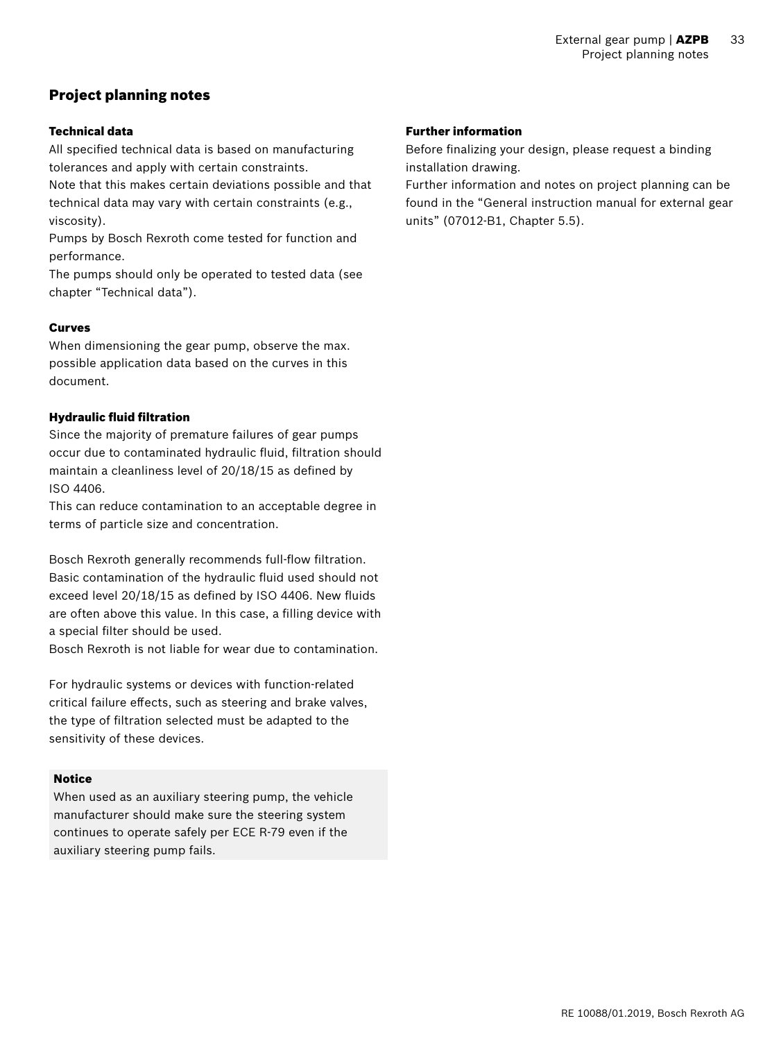# <span id="page-32-0"></span>Project planning notes

#### Technical data

All specified technical data is based on manufacturing tolerances and apply with certain constraints.

Note that this makes certain deviations possible and that technical data may vary with certain constraints (e.g., viscosity).

Pumps by Bosch Rexroth come tested for function and performance.

The pumps should only be operated to tested data (see chapter "Technical data").

#### Curves

When dimensioning the gear pump, observe the max. possible application data based on the curves in this document.

#### Hydraulic fluid filtration

Since the majority of premature failures of gear pumps occur due to contaminated hydraulic fluid, filtration should maintain a cleanliness level of 20/18/15 as defined by ISO 4406.

This can reduce contamination to an acceptable degree in terms of particle size and concentration.

Bosch Rexroth generally recommends full-flow filtration. Basic contamination of the hydraulic fluid used should not exceed level 20/18/15 as defined by ISO 4406. New fluids are often above this value. In this case, a filling device with a special filter should be used.

Bosch Rexroth is not liable for wear due to contamination.

For hydraulic systems or devices with function-related critical failure effects, such as steering and brake valves, the type of filtration selected must be adapted to the sensitivity of these devices.

#### Notice

When used as an auxiliary steering pump, the vehicle manufacturer should make sure the steering system continues to operate safely per ECE R-79 even if the auxiliary steering pump fails.

#### Further information

Before finalizing your design, please request a binding installation drawing.

Further information and notes on project planning can be found in the "General instruction manual for external gear units" (07012-B1, Chapter 5.5).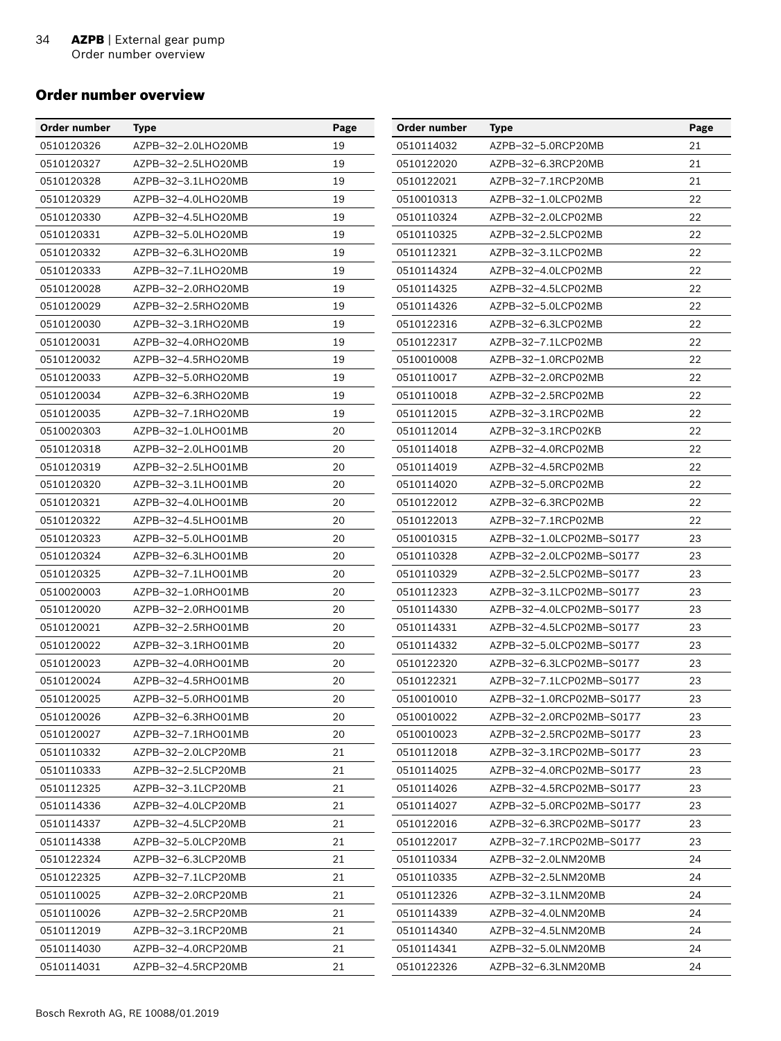#### <span id="page-33-0"></span>Order number overview

| Order number | <b>Type</b>        | Page | Order number | Type                     | Page |
|--------------|--------------------|------|--------------|--------------------------|------|
| 0510120326   | AZPB-32-2.0LHO20MB | 19   | 0510114032   | AZPB-32-5.0RCP20MB       | 21   |
| 0510120327   | AZPB-32-2.5LHO20MB | 19   | 0510122020   | AZPB-32-6.3RCP20MB       | 21   |
| 0510120328   | AZPB-32-3.1LHO20MB | 19   | 0510122021   | AZPB-32-7.1RCP20MB       | 21   |
| 0510120329   | AZPB-32-4.0LHO20MB | 19   | 0510010313   | AZPB-32-1.0LCP02MB       | 22   |
| 0510120330   | AZPB-32-4.5LHO20MB | 19   | 0510110324   | AZPB-32-2.0LCP02MB       | 22   |
| 0510120331   | AZPB-32-5.0LHO20MB | 19   | 0510110325   | AZPB-32-2.5LCP02MB       | 22   |
| 0510120332   | AZPB-32-6.3LHO20MB | 19   | 0510112321   | AZPB-32-3.1LCP02MB       | 22   |
| 0510120333   | AZPB-32-7.1LHO20MB | 19   | 0510114324   | AZPB-32-4.0LCP02MB       | 22   |
| 0510120028   | AZPB-32-2.0RHO20MB | 19   | 0510114325   | AZPB-32-4.5LCP02MB       | 22   |
| 0510120029   | AZPB-32-2.5RHO20MB | 19   | 0510114326   | AZPB-32-5.0LCP02MB       | 22   |
| 0510120030   | AZPB-32-3.1RHO20MB | 19   | 0510122316   | AZPB-32-6.3LCP02MB       | 22   |
| 0510120031   | AZPB-32-4.0RHO20MB | 19   | 0510122317   | AZPB-32-7.1LCP02MB       | 22   |
| 0510120032   | AZPB-32-4.5RHO20MB | 19   | 0510010008   | AZPB-32-1.0RCP02MB       | 22   |
| 0510120033   | AZPB-32-5.0RHO20MB | 19   | 0510110017   | AZPB-32-2.0RCP02MB       | 22   |
| 0510120034   | AZPB-32-6.3RHO20MB | 19   | 0510110018   | AZPB-32-2.5RCP02MB       | 22   |
| 0510120035   | AZPB-32-7.1RHO20MB | 19   | 0510112015   | AZPB-32-3.1RCP02MB       | 22   |
| 0510020303   | AZPB-32-1.0LHO01MB | 20   | 0510112014   | AZPB-32-3.1RCP02KB       | 22   |
| 0510120318   | AZPB-32-2.0LHO01MB | 20   | 0510114018   | AZPB-32-4.0RCP02MB       | 22   |
| 0510120319   | AZPB-32-2.5LHO01MB | 20   | 0510114019   | AZPB-32-4.5RCP02MB       | 22   |
| 0510120320   | AZPB-32-3.1LHO01MB | 20   | 0510114020   | AZPB-32-5.0RCP02MB       | 22   |
| 0510120321   | AZPB-32-4.0LHO01MB | 20   | 0510122012   | AZPB-32-6.3RCP02MB       | 22   |
| 0510120322   | AZPB-32-4.5LHO01MB | 20   | 0510122013   | AZPB-32-7.1RCP02MB       | 22   |
| 0510120323   | AZPB-32-5.0LHO01MB | 20   | 0510010315   | AZPB-32-1.0LCP02MB-S0177 | 23   |
| 0510120324   | AZPB-32-6.3LHO01MB | 20   | 0510110328   | AZPB-32-2.0LCP02MB-S0177 | 23   |
| 0510120325   | AZPB-32-7.1LHO01MB | 20   | 0510110329   | AZPB-32-2.5LCP02MB-S0177 | 23   |
| 0510020003   | AZPB-32-1.0RHO01MB | 20   | 0510112323   | AZPB-32-3.1LCP02MB-S0177 | 23   |
| 0510120020   | AZPB-32-2.0RHO01MB | 20   | 0510114330   | AZPB-32-4.0LCP02MB-S0177 | 23   |
| 0510120021   | AZPB-32-2.5RHO01MB | 20   | 0510114331   | AZPB-32-4.5LCP02MB-S0177 | 23   |
| 0510120022   | AZPB-32-3.1RHO01MB | 20   | 0510114332   | AZPB-32-5.0LCP02MB-S0177 | 23   |
| 0510120023   | AZPB-32-4.0RHO01MB | 20   | 0510122320   | AZPB-32-6.3LCP02MB-S0177 | 23   |
| 0510120024   | AZPB-32-4.5RHO01MB | 20   | 0510122321   | AZPB-32-7.1LCP02MB-S0177 | 23   |
| 0510120025   | AZPB-32-5.0RHO01MB | 20   | 0510010010   | AZPB-32-1.0RCP02MB-S0177 | 23   |
| 0510120026   | AZPB-32-6.3RHO01MB | 20   | 0510010022   | AZPB-32-2.0RCP02MB-S0177 | 23   |
| 0510120027   | AZPB-32-7.1RHO01MB | 20   | 0510010023   | AZPB-32-2.5RCP02MB-S0177 | 23   |
| 0510110332   | AZPB-32-2.0LCP20MB | 21   | 0510112018   | AZPB-32-3.1RCP02MB-S0177 | 23   |
| 0510110333   | AZPB-32-2.5LCP20MB | 21   | 0510114025   | AZPB-32-4.0RCP02MB-S0177 | 23   |
| 0510112325   | AZPB-32-3.1LCP20MB | 21   | 0510114026   | AZPB-32-4.5RCP02MB-S0177 | 23   |
| 0510114336   | AZPB-32-4.0LCP20MB | 21   | 0510114027   | AZPB-32-5.0RCP02MB-S0177 | 23   |
| 0510114337   | AZPB-32-4.5LCP20MB | 21   | 0510122016   | AZPB-32-6.3RCP02MB-S0177 | 23   |
| 0510114338   | AZPB-32-5.0LCP20MB | 21   | 0510122017   | AZPB-32-7.1RCP02MB-S0177 | 23   |
| 0510122324   | AZPB-32-6.3LCP20MB | 21   | 0510110334   | AZPB-32-2.0LNM20MB       | 24   |
| 0510122325   | AZPB-32-7.1LCP20MB | 21   | 0510110335   | AZPB-32-2.5LNM20MB       | 24   |
| 0510110025   | AZPB-32-2.0RCP20MB | 21   | 0510112326   | AZPB-32-3.1LNM20MB       | 24   |
| 0510110026   | AZPB-32-2.5RCP20MB | 21   | 0510114339   | AZPB-32-4.0LNM20MB       | 24   |
| 0510112019   | AZPB-32-3.1RCP20MB | 21   | 0510114340   | AZPB-32-4.5LNM20MB       | 24   |
| 0510114030   | AZPB-32-4.0RCP20MB | 21   | 0510114341   | AZPB-32-5.0LNM20MB       | 24   |
| 0510114031   | AZPB-32-4.5RCP20MB | 21   | 0510122326   | AZPB-32-6.3LNM20MB       | 24   |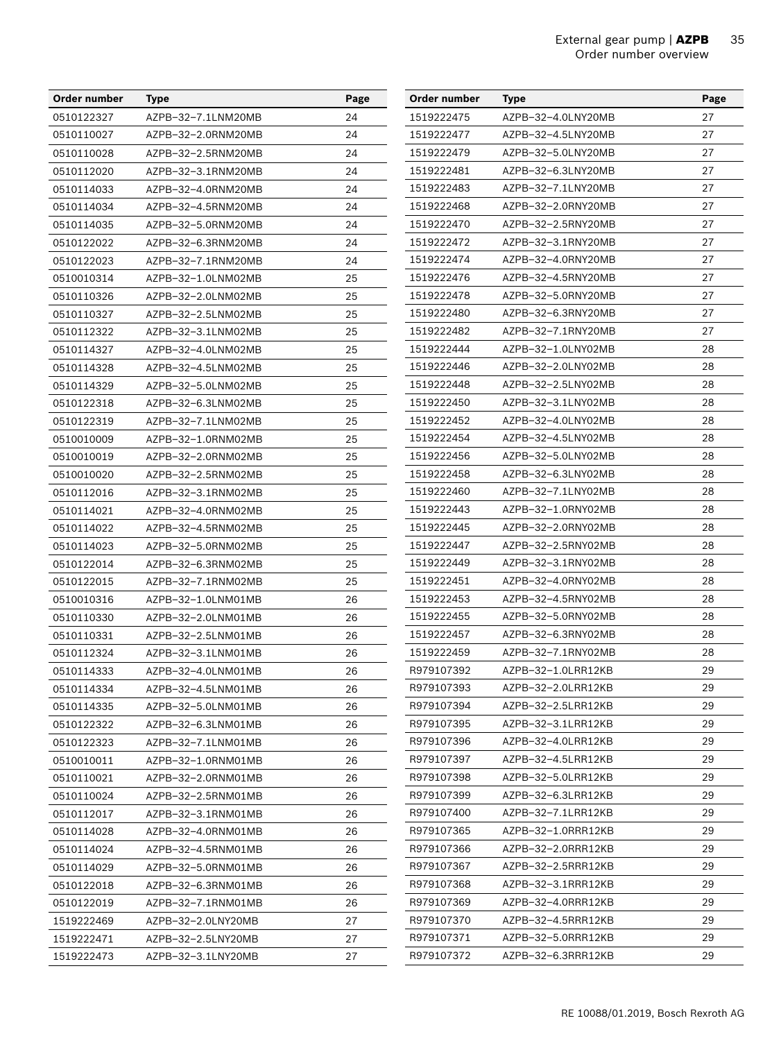| Order number | <b>Type</b>        | Page | Order number | <b>Type</b>        | Page |
|--------------|--------------------|------|--------------|--------------------|------|
| 0510122327   | AZPB-32-7.1LNM20MB | 24   | 1519222475   | AZPB-32-4.0LNY20MB | 27   |
| 0510110027   | AZPB-32-2.0RNM20MB | 24   | 1519222477   | AZPB-32-4.5LNY20MB | 27   |
| 0510110028   | AZPB-32-2.5RNM20MB | 24   | 1519222479   | AZPB-32-5.0LNY20MB | 27   |
| 0510112020   | AZPB-32-3.1RNM20MB | 24   | 1519222481   | AZPB-32-6.3LNY20MB | 27   |
| 0510114033   | AZPB-32-4.0RNM20MB | 24   | 1519222483   | AZPB-32-7.1LNY20MB | 27   |
| 0510114034   | AZPB-32-4.5RNM20MB | 24   | 1519222468   | AZPB-32-2.0RNY20MB | 27   |
| 0510114035   | AZPB-32-5.0RNM20MB | 24   | 1519222470   | AZPB-32-2.5RNY20MB | 27   |
| 0510122022   | AZPB-32-6.3RNM20MB | 24   | 1519222472   | AZPB-32-3.1RNY20MB | 27   |
| 0510122023   | AZPB-32-7.1RNM20MB | 24   | 1519222474   | AZPB-32-4.0RNY20MB | 27   |
| 0510010314   | AZPB-32-1.0LNM02MB | 25   | 1519222476   | AZPB-32-4.5RNY20MB | 27   |
| 0510110326   | AZPB-32-2.0LNM02MB | 25   | 1519222478   | AZPB-32-5.0RNY20MB | 27   |
| 0510110327   | AZPB-32-2.5LNM02MB | 25   | 1519222480   | AZPB-32-6.3RNY20MB | 27   |
| 0510112322   | AZPB-32-3.1LNM02MB | 25   | 1519222482   | AZPB-32-7.1RNY20MB | 27   |
| 0510114327   | AZPB-32-4.0LNM02MB | 25   | 1519222444   | AZPB-32-1.0LNY02MB | 28   |
| 0510114328   | AZPB-32-4.5LNM02MB | 25   | 1519222446   | AZPB-32-2.0LNY02MB | 28   |
| 0510114329   | AZPB-32-5.0LNM02MB | 25   | 1519222448   | AZPB-32-2.5LNY02MB | 28   |
| 0510122318   | AZPB-32-6.3LNM02MB | 25   | 1519222450   | AZPB-32-3.1LNY02MB | 28   |
| 0510122319   | AZPB-32-7.1LNM02MB | 25   | 1519222452   | AZPB-32-4.0LNY02MB | 28   |
| 0510010009   | AZPB-32-1.0RNM02MB | 25   | 1519222454   | AZPB-32-4.5LNY02MB | 28   |
| 0510010019   | AZPB-32-2.0RNM02MB | 25   | 1519222456   | AZPB-32-5.0LNY02MB | 28   |
| 0510010020   | AZPB-32-2.5RNM02MB | 25   | 1519222458   | AZPB-32-6.3LNY02MB | 28   |
| 0510112016   | AZPB-32-3.1RNM02MB | 25   | 1519222460   | AZPB-32-7.1LNY02MB | 28   |
| 0510114021   | AZPB-32-4.0RNM02MB | 25   | 1519222443   | AZPB-32-1.0RNY02MB | 28   |
| 0510114022   | AZPB-32-4.5RNM02MB | 25   | 1519222445   | AZPB-32-2.0RNY02MB | 28   |
| 0510114023   | AZPB-32-5.0RNM02MB | 25   | 1519222447   | AZPB-32-2.5RNY02MB | 28   |
| 0510122014   | AZPB-32-6.3RNM02MB | 25   | 1519222449   | AZPB-32-3.1RNY02MB | 28   |
| 0510122015   | AZPB-32-7.1RNM02MB | 25   | 1519222451   | AZPB-32-4.0RNY02MB | 28   |
| 0510010316   | AZPB-32-1.0LNM01MB | 26   | 1519222453   | AZPB-32-4.5RNY02MB | 28   |
| 0510110330   | AZPB-32-2.0LNM01MB | 26   | 1519222455   | AZPB-32-5.0RNY02MB | 28   |
| 0510110331   | AZPB-32-2.5LNM01MB | 26   | 1519222457   | AZPB-32-6.3RNY02MB | 28   |
| 0510112324   | AZPB-32-3.1LNM01MB | 26   | 1519222459   | AZPB-32-7.1RNY02MB | 28   |
| 0510114333   | AZPB-32-4.0LNM01MB | 26   | R979107392   | AZPB-32-1.0LRR12KB | 29   |
| 0510114334   | AZPB-32-4.5LNM01MB | 26   | R979107393   | AZPB-32-2.0LRR12KB | 29   |
| 0510114335   | AZPB-32-5.0LNM01MB | 26   | R979107394   | AZPB-32-2.5LRR12KB | 29   |
| 0510122322   | AZPB-32-6.3LNM01MB | 26   | R979107395   | AZPB-32-3.1LRR12KB | 29   |
| 0510122323   | AZPB-32-7.1LNM01MB | 26   | R979107396   | AZPB-32-4.0LRR12KB | 29   |
| 0510010011   | AZPB-32-1.0RNM01MB | 26   | R979107397   | AZPB-32-4.5LRR12KB | 29   |
| 0510110021   | AZPB-32-2.0RNM01MB | 26   | R979107398   | AZPB-32-5.0LRR12KB | 29   |
| 0510110024   | AZPB-32-2.5RNM01MB | 26   | R979107399   | AZPB-32-6.3LRR12KB | 29   |
| 0510112017   | AZPB-32-3.1RNM01MB | 26   | R979107400   | AZPB-32-7.1LRR12KB | 29   |
| 0510114028   | AZPB-32-4.0RNM01MB | 26   | R979107365   | AZPB-32-1.0RRR12KB | 29   |
| 0510114024   | AZPB-32-4.5RNM01MB | 26   | R979107366   | AZPB-32-2.0RRR12KB | 29   |
| 0510114029   | AZPB-32-5.0RNM01MB | 26   | R979107367   | AZPB-32-2.5RRR12KB | 29   |
| 0510122018   | AZPB-32-6.3RNM01MB | 26   | R979107368   | AZPB-32-3.1RRR12KB | 29   |
| 0510122019   | AZPB-32-7.1RNM01MB | 26   | R979107369   | AZPB-32-4.0RRR12KB | 29   |
| 1519222469   | AZPB-32-2.0LNY20MB | 27   | R979107370   | AZPB-32-4.5RRR12KB | 29   |
| 1519222471   | AZPB-32-2.5LNY20MB | 27   | R979107371   | AZPB-32-5.0RRR12KB | 29   |
| 1519222473   | AZPB-32-3.1LNY20MB | 27   | R979107372   | AZPB-32-6.3RRR12KB | 29   |
|              |                    |      |              |                    |      |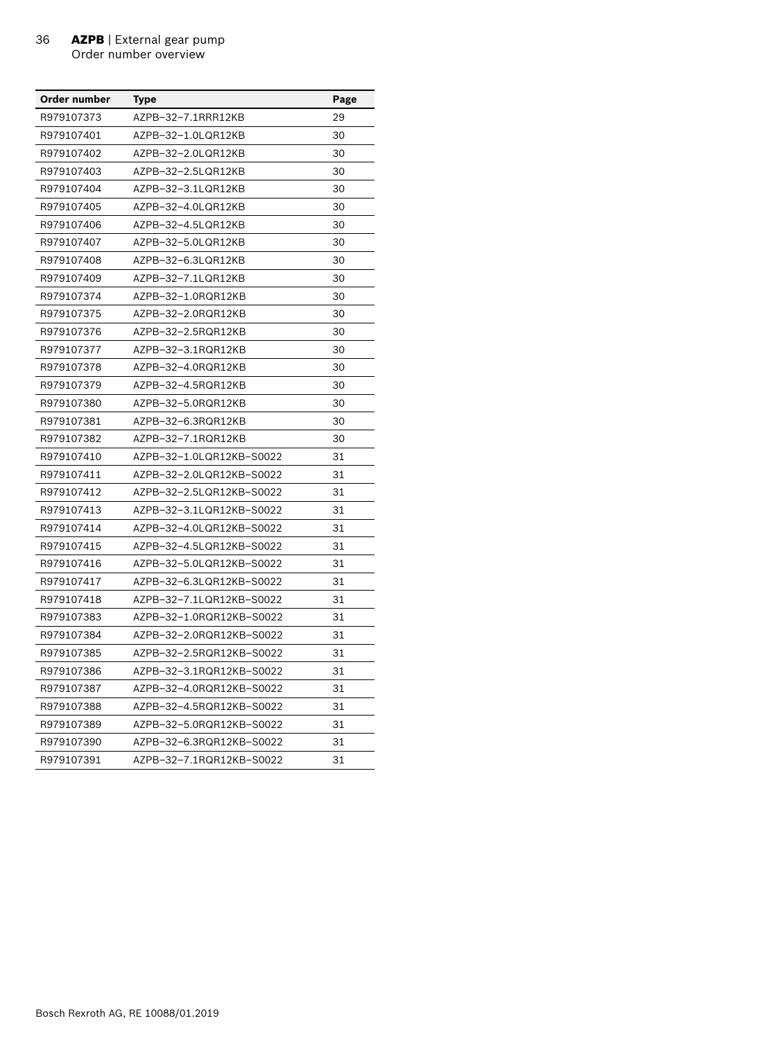| Order number | Type                     | Page |
|--------------|--------------------------|------|
| R979107373   | AZPB-32-7.1RRR12KB       | 29   |
| R979107401   | AZPB-32-1.0LQR12KB       | 30   |
| R979107402   | AZPB-32-2.0LQR12KB       | 30   |
| R979107403   | AZPB-32-2.5LQR12KB       | 30   |
| R979107404   | AZPB-32-3.1LQR12KB       | 30   |
| R979107405   | AZPB-32-4.0LQR12KB       | 30   |
| R979107406   | AZPB-32-4.5LQR12KB       | 30   |
| R979107407   | AZPB-32-5.0LQR12KB       | 30   |
| R979107408   | AZPB-32-6.3LQR12KB       | 30   |
| R979107409   | AZPB-32-7.1LQR12KB       | 30   |
| R979107374   | AZPB-32-1.0RQR12KB       | 30   |
| R979107375   | AZPB-32-2.0RQR12KB       | 30   |
| R979107376   | AZPB-32-2.5RQR12KB       | 30   |
| R979107377   | AZPB-32-3.1RQR12KB       | 30   |
| R979107378   | AZPB-32-4.0RQR12KB       | 30   |
| R979107379   | AZPB-32-4.5RQR12KB       | 30   |
| R979107380   | AZPB-32-5.0RQR12KB       | 30   |
| R979107381   | AZPB-32-6.3RQR12KB       | 30   |
| R979107382   | AZPB-32-7.1RQR12KB       | 30   |
| R979107410   | AZPB-32-1.0LQR12KB-S0022 | 31   |
| R979107411   | AZPB-32-2.0LQR12KB-S0022 | 31   |
| R979107412   | AZPB-32-2.5LQR12KB-S0022 | 31   |
| R979107413   | AZPB-32-3.1LQR12KB-S0022 | 31   |
| R979107414   | AZPB-32-4.0LQR12KB-S0022 | 31   |
| R979107415   | AZPB-32-4.5LQR12KB-S0022 | 31   |
| R979107416   | AZPB-32-5.0LQR12KB-S0022 | 31   |
| R979107417   | AZPB-32-6.3LQR12KB-S0022 | 31   |
| R979107418   | AZPB-32-7.1LQR12KB-S0022 | 31   |
| R979107383   | AZPB-32-1.0RQR12KB-S0022 | 31   |
| R979107384   | AZPB-32-2.0RQR12KB-S0022 | 31   |
| R979107385   | AZPB-32-2.5RQR12KB-S0022 | 31   |
| R979107386   | AZPB-32-3.1RQR12KB-S0022 | 31   |
| R979107387   | AZPB-32-4.0RQR12KB-S0022 | 31   |
| R979107388   | AZPB-32-4.5RQR12KB-S0022 | 31   |
| R979107389   | AZPB-32-5.0RQR12KB-S0022 | 31   |
| R979107390   | AZPB-32-6.3RQR12KB-S0022 | 31   |
| R979107391   | AZPB-32-7.1RQR12KB-S0022 | 31   |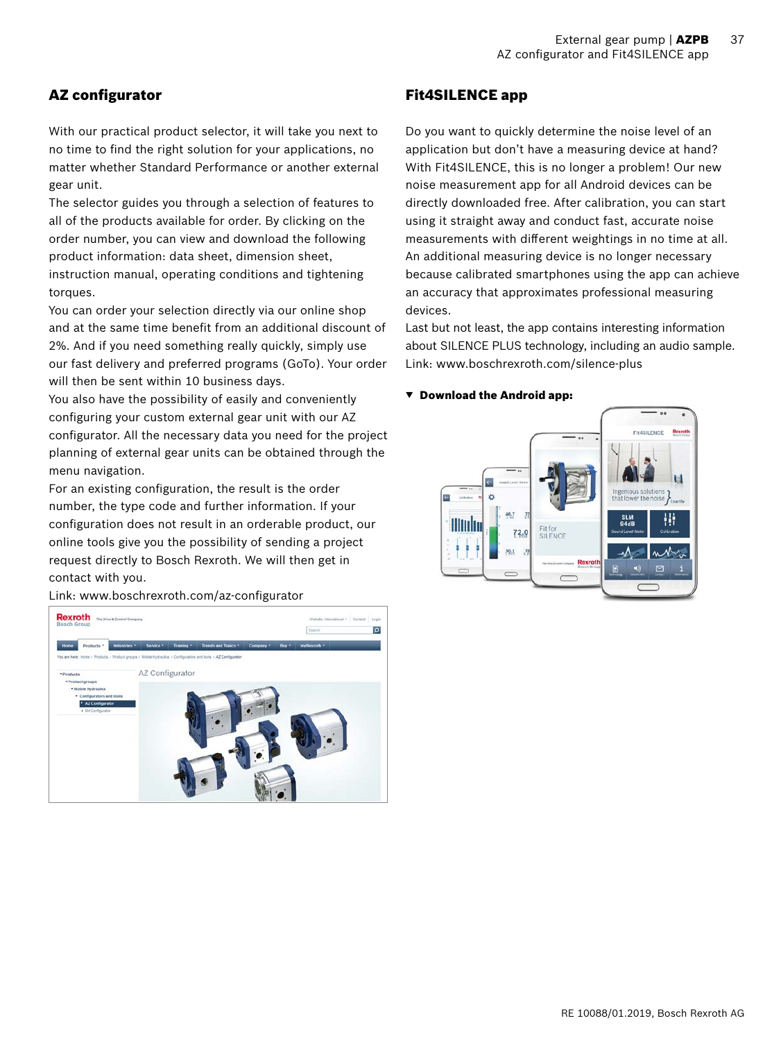# <span id="page-36-0"></span>AZ configurator

With our practical product selector, it will take you next to no time to find the right solution for your applications, no matter whether Standard Performance or another external gear unit.

The selector guides you through a selection of features to all of the products available for order. By clicking on the order number, you can view and download the following product information: data sheet, dimension sheet, instruction manual, operating conditions and tightening torques.

You can order your selection directly via our online shop and at the same time benefit from an additional discount of 2%. And if you need something really quickly, simply use our fast delivery and preferred programs (GoTo). Your order will then be sent within 10 business days.

You also have the possibility of easily and conveniently configuring your custom external gear unit with our AZ configurator. All the necessary data you need for the project planning of external gear units can be obtained through the menu navigation.

For an existing configuration, the result is the order number, the type code and further information. If your configuration does not result in an orderable product, our online tools give you the possibility of sending a project request directly to Bosch Rexroth. We will then get in contact with you.

Link: www.boschrexroth.com/az-configurator

Rexroth **No.** آ م AZ Configurator

# Fit4SILENCE app

Do you want to quickly determine the noise level of an application but don't have a measuring device at hand? With Fit4SILENCE, this is no longer a problem! Our new noise measurement app for all Android devices can be directly downloaded free. After calibration, you can start using it straight away and conduct fast, accurate noise measurements with different weightings in no time at all. An additional measuring device is no longer necessary because calibrated smartphones using the app can achieve an accuracy that approximates professional measuring devices.

Last but not least, the app contains interesting information about SILENCE PLUS technology, including an audio sample. Link: www.boschrexroth.com/silence-plus

#### ▼ Download the Android app: